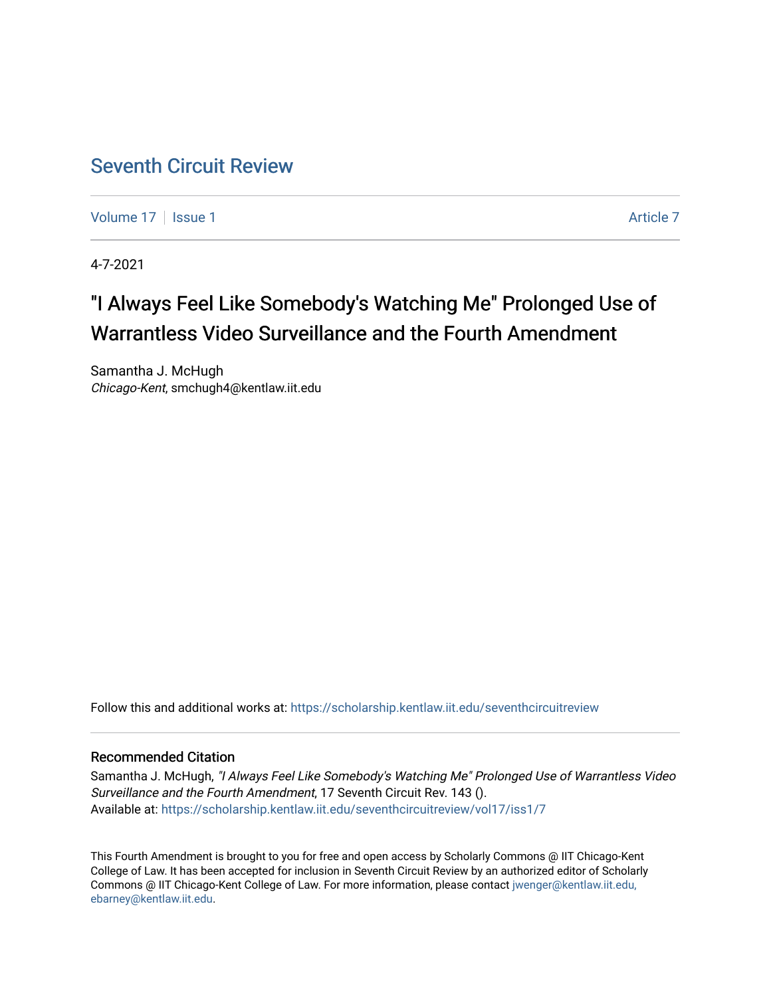# [Seventh Circuit Review](https://scholarship.kentlaw.iit.edu/seventhcircuitreview)

[Volume 17](https://scholarship.kentlaw.iit.edu/seventhcircuitreview/vol17) | [Issue 1](https://scholarship.kentlaw.iit.edu/seventhcircuitreview/vol17/iss1) Article 7

4-7-2021

# "I Always Feel Like Somebody's Watching Me" Prolonged Use of Warrantless Video Surveillance and the Fourth Amendment

Samantha J. McHugh Chicago-Kent, smchugh4@kentlaw.iit.edu

Follow this and additional works at: [https://scholarship.kentlaw.iit.edu/seventhcircuitreview](https://scholarship.kentlaw.iit.edu/seventhcircuitreview?utm_source=scholarship.kentlaw.iit.edu%2Fseventhcircuitreview%2Fvol17%2Fiss1%2F7&utm_medium=PDF&utm_campaign=PDFCoverPages) 

# Recommended Citation

Samantha J. McHugh, "I Always Feel Like Somebody's Watching Me" Prolonged Use of Warrantless Video Surveillance and the Fourth Amendment, 17 Seventh Circuit Rev. 143 (). Available at: [https://scholarship.kentlaw.iit.edu/seventhcircuitreview/vol17/iss1/7](https://scholarship.kentlaw.iit.edu/seventhcircuitreview/vol17/iss1/7?utm_source=scholarship.kentlaw.iit.edu%2Fseventhcircuitreview%2Fvol17%2Fiss1%2F7&utm_medium=PDF&utm_campaign=PDFCoverPages) 

This Fourth Amendment is brought to you for free and open access by Scholarly Commons @ IIT Chicago-Kent College of Law. It has been accepted for inclusion in Seventh Circuit Review by an authorized editor of Scholarly Commons @ IIT Chicago-Kent College of Law. For more information, please contact [jwenger@kentlaw.iit.edu,](mailto:jwenger@kentlaw.iit.edu,%20ebarney@kentlaw.iit.edu)  [ebarney@kentlaw.iit.edu](mailto:jwenger@kentlaw.iit.edu,%20ebarney@kentlaw.iit.edu).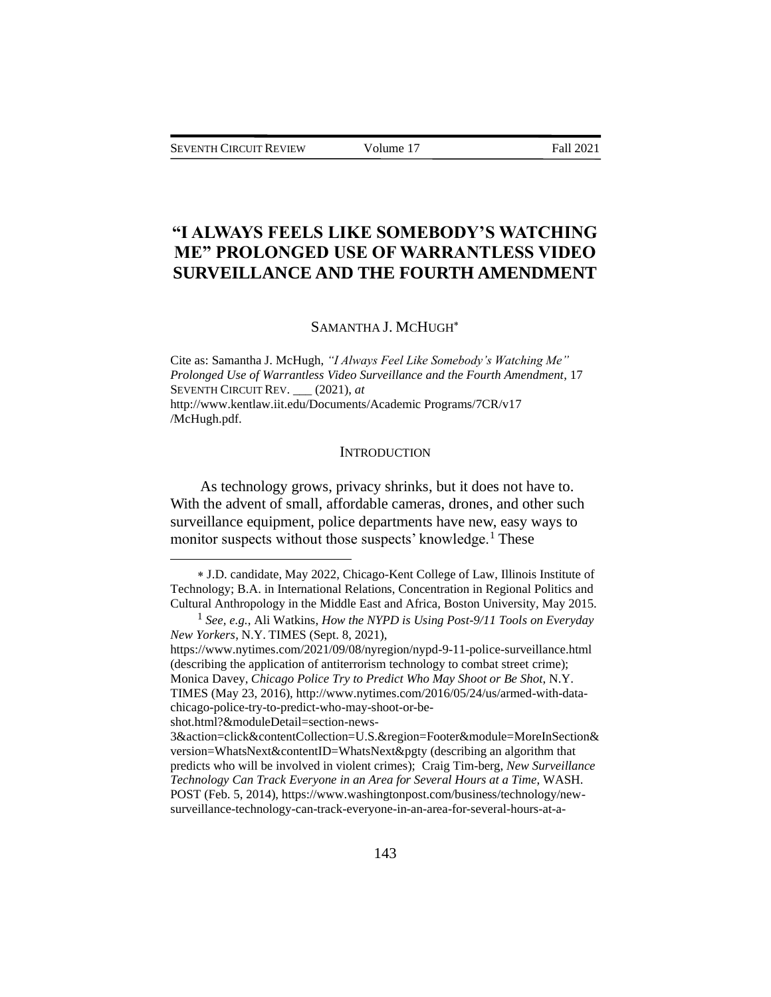# **"I ALWAYS FEELS LIKE SOMEBODY'S WATCHING ME" PROLONGED USE OF WARRANTLESS VIDEO SURVEILLANCE AND THE FOURTH AMENDMENT**

# SAMANTHA J. MCHUGH

Cite as: Samantha J. McHugh, *"I Always Feel Like Somebody's Watching Me" Prolonged Use of Warrantless Video Surveillance and the Fourth Amendment*, 17 SEVENTH CIRCUIT REV. \_\_\_ (2021), *at*  http://www.kentlaw.iit.edu/Documents/Academic Programs/7CR/v17 /McHugh.pdf.

#### **INTRODUCTION**

As technology grows, privacy shrinks, but it does not have to. With the advent of small, affordable cameras, drones, and other such surveillance equipment, police departments have new, easy ways to monitor suspects without those suspects' knowledge.<sup>1</sup> These

J.D. candidate, May 2022, Chicago-Kent College of Law, Illinois Institute of Technology; B.A. in International Relations, Concentration in Regional Politics and Cultural Anthropology in the Middle East and Africa, Boston University, May 2015.

<sup>1</sup> *See, e.g.*, Ali Watkins, *How the NYPD is Using Post-9/11 Tools on Everyday New Yorkers*, N.Y. TIMES (Sept. 8, 2021),

https://www.nytimes.com/2021/09/08/nyregion/nypd-9-11-police-surveillance.html (describing the application of antiterrorism technology to combat street crime); Monica Davey, *Chicago Police Try to Predict Who May Shoot or Be Shot*, N.Y. TIMES (May 23, 2016), http://www.nytimes.com/2016/05/24/us/armed-with-datachicago-police-try-to-predict-who-may-shoot-or-be-

shot.html?&moduleDetail=section-news-

<sup>3&</sup>amp;action=click&contentCollection=U.S.&region=Footer&module=MoreInSection& version=WhatsNext&contentID=WhatsNext&pgty (describing an algorithm that predicts who will be involved in violent crimes); Craig Tim-berg, *New Surveillance Technology Can Track Everyone in an Area for Several Hours at a Time*, WASH. POST (Feb. 5, 2014), https://www.washingtonpost.com/business/technology/newsurveillance-technology-can-track-everyone-in-an-area-for-several-hours-at-a-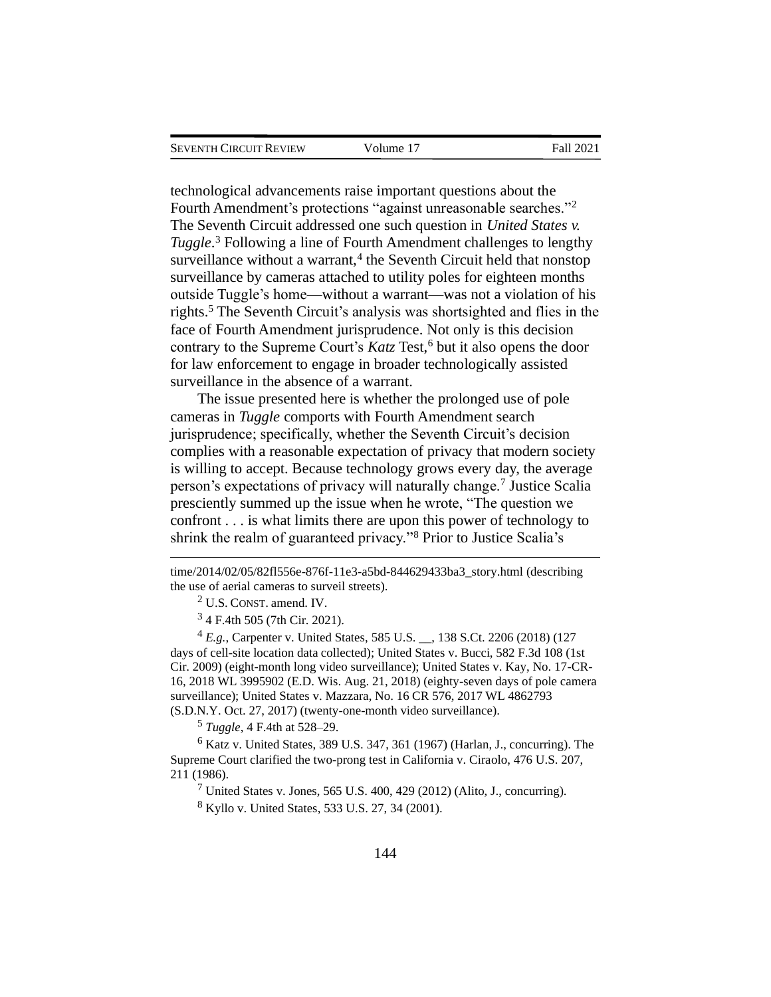technological advancements raise important questions about the Fourth Amendment's protections "against unreasonable searches."<sup>2</sup> The Seventh Circuit addressed one such question in *United States v. Tuggle*. <sup>3</sup> Following a line of Fourth Amendment challenges to lengthy surveillance without a warrant,<sup>4</sup> the Seventh Circuit held that nonstop surveillance by cameras attached to utility poles for eighteen months outside Tuggle's home—without a warrant—was not a violation of his rights.<sup>5</sup> The Seventh Circuit's analysis was shortsighted and flies in the face of Fourth Amendment jurisprudence. Not only is this decision contrary to the Supreme Court's *Katz*, Test,<sup>6</sup> but it also opens the door for law enforcement to engage in broader technologically assisted surveillance in the absence of a warrant.

The issue presented here is whether the prolonged use of pole cameras in *Tuggle* comports with Fourth Amendment search jurisprudence; specifically, whether the Seventh Circuit's decision complies with a reasonable expectation of privacy that modern society is willing to accept. Because technology grows every day, the average person's expectations of privacy will naturally change.<sup>7</sup> Justice Scalia presciently summed up the issue when he wrote, "The question we confront . . . is what limits there are upon this power of technology to shrink the realm of guaranteed privacy."<sup>8</sup> Prior to Justice Scalia's

<sup>2</sup> U.S. CONST. amend. IV.

3 4 F.4th 505 (7th Cir. 2021).

<sup>4</sup> *E.g.*, Carpenter v. United States, 585 U.S. \_\_, 138 S.Ct. 2206 (2018) (127 days of cell-site location data collected); United States v. Bucci, 582 F.3d 108 (1st Cir. 2009) (eight-month long video surveillance); United States v. Kay, No. 17-CR-16, 2018 WL 3995902 (E.D. Wis. Aug. 21, 2018) (eighty-seven days of pole camera surveillance); United States v. Mazzara, No. 16 CR 576, 2017 WL 4862793 (S.D.N.Y. Oct. 27, 2017) (twenty-one-month video surveillance).

<sup>5</sup> *Tuggle*, 4 F.4th at 528–29.

 $6$  Katz v. United States, 389 U.S. 347, 361 (1967) (Harlan, J., concurring). The Supreme Court clarified the two-prong test in California v. Ciraolo, 476 U.S. 207, 211 (1986).

 $7$  United States v. Jones, 565 U.S. 400, 429 (2012) (Alito, J., concurring).

<sup>8</sup> Kyllo v. United States, 533 U.S. 27, 34 (2001).

time/2014/02/05/82fl556e-876f-11e3-a5bd-844629433ba3\_story.html (describing the use of aerial cameras to surveil streets).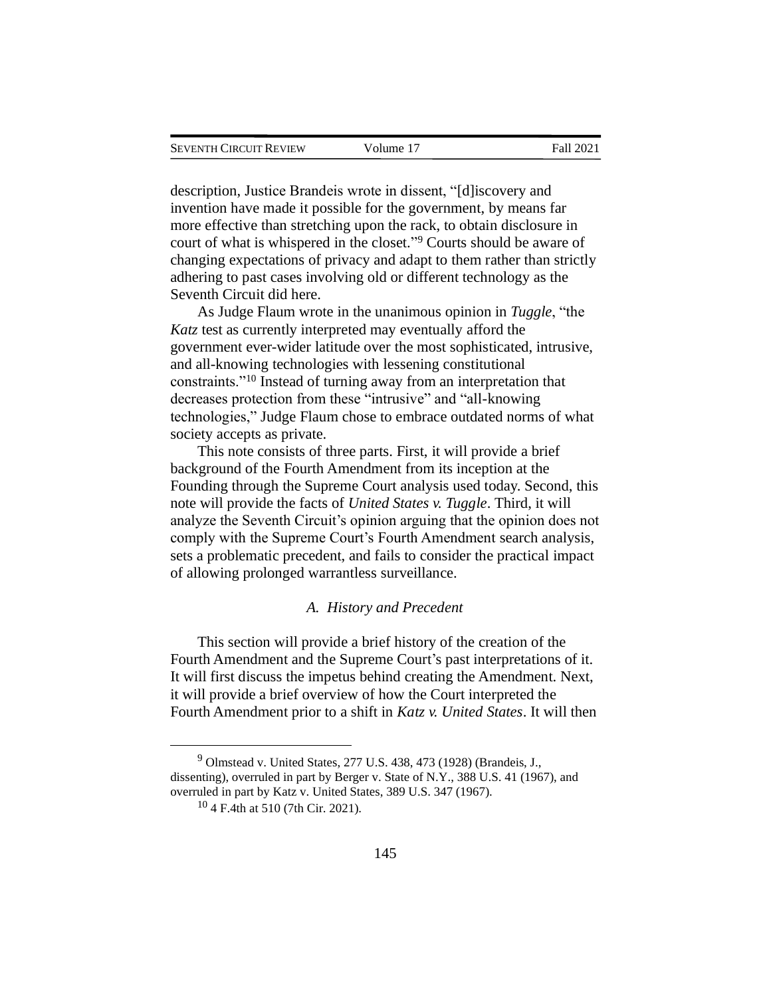description, Justice Brandeis wrote in dissent, "[d]iscovery and invention have made it possible for the government, by means far more effective than stretching upon the rack, to obtain disclosure in court of what is whispered in the closet." <sup>9</sup> Courts should be aware of changing expectations of privacy and adapt to them rather than strictly adhering to past cases involving old or different technology as the Seventh Circuit did here.

As Judge Flaum wrote in the unanimous opinion in *Tuggle*, "the *Katz* test as currently interpreted may eventually afford the government ever-wider latitude over the most sophisticated, intrusive, and all-knowing technologies with lessening constitutional constraints."<sup>10</sup> Instead of turning away from an interpretation that decreases protection from these "intrusive" and "all-knowing technologies," Judge Flaum chose to embrace outdated norms of what society accepts as private.

This note consists of three parts. First, it will provide a brief background of the Fourth Amendment from its inception at the Founding through the Supreme Court analysis used today. Second, this note will provide the facts of *United States v. Tuggle*. Third, it will analyze the Seventh Circuit's opinion arguing that the opinion does not comply with the Supreme Court's Fourth Amendment search analysis, sets a problematic precedent, and fails to consider the practical impact of allowing prolonged warrantless surveillance.

# *A. History and Precedent*

This section will provide a brief history of the creation of the Fourth Amendment and the Supreme Court's past interpretations of it. It will first discuss the impetus behind creating the Amendment. Next, it will provide a brief overview of how the Court interpreted the Fourth Amendment prior to a shift in *Katz v. United States*. It will then

 $9$  Olmstead v. United States, 277 U.S. 438, 473 (1928) (Brandeis, J., dissenting), overruled in part by Berger v. State of N.Y., 388 U.S. 41 (1967), and overruled in part by Katz v. United States, 389 U.S. 347 (1967).

<sup>10</sup> 4 F.4th at 510 (7th Cir. 2021).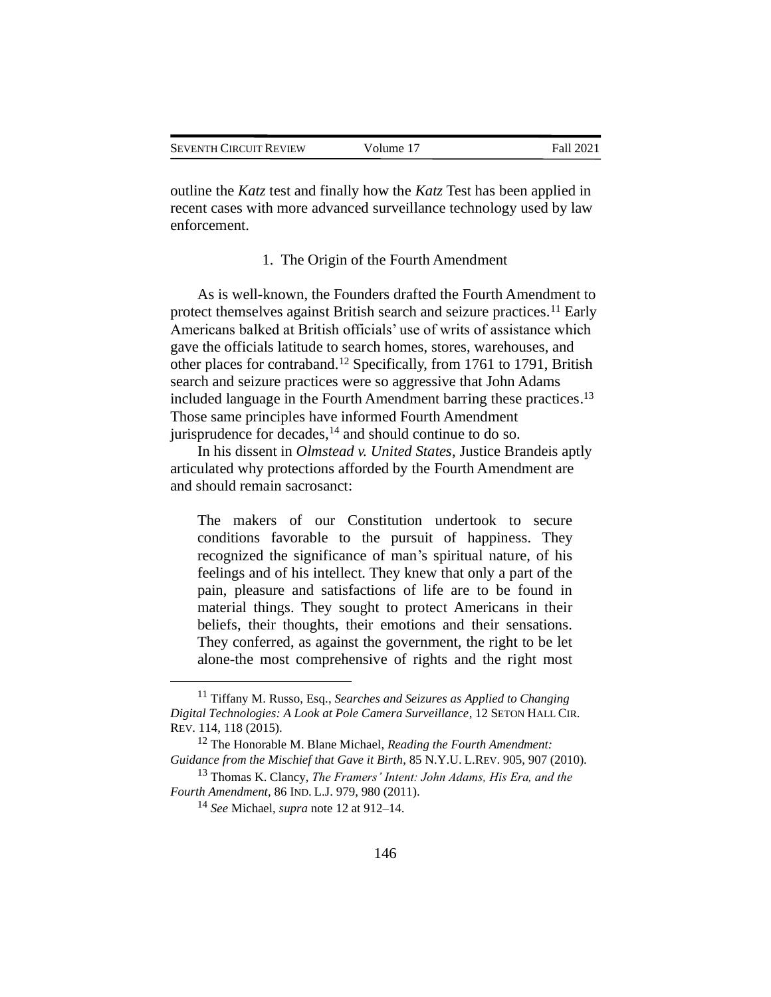outline the *Katz* test and finally how the *Katz* Test has been applied in recent cases with more advanced surveillance technology used by law enforcement.

#### 1. The Origin of the Fourth Amendment

As is well-known, the Founders drafted the Fourth Amendment to protect themselves against British search and seizure practices.<sup>11</sup> Early Americans balked at British officials' use of writs of assistance which gave the officials latitude to search homes, stores, warehouses, and other places for contraband.<sup>12</sup> Specifically, from 1761 to 1791, British search and seizure practices were so aggressive that John Adams included language in the Fourth Amendment barring these practices. 13 Those same principles have informed Fourth Amendment jurisprudence for decades,  $^{14}$  and should continue to do so.

In his dissent in *Olmstead v. United States*, Justice Brandeis aptly articulated why protections afforded by the Fourth Amendment are and should remain sacrosanct:

The makers of our Constitution undertook to secure conditions favorable to the pursuit of happiness. They recognized the significance of man's spiritual nature, of his feelings and of his intellect. They knew that only a part of the pain, pleasure and satisfactions of life are to be found in material things. They sought to protect Americans in their beliefs, their thoughts, their emotions and their sensations. They conferred, as against the government, the right to be let alone-the most comprehensive of rights and the right most

<sup>11</sup> Tiffany M. Russo, Esq., *Searches and Seizures as Applied to Changing Digital Technologies: A Look at Pole Camera Surveillance*, 12 SETON HALL CIR. REV. 114, 118 (2015).

<sup>12</sup> The Honorable M. Blane Michael, *Reading the Fourth Amendment: Guidance from the Mischief that Gave it Birth*, 85 N.Y.U. L.REV. 905, 907 (2010).

<sup>13</sup> Thomas K. Clancy, *The Framers' Intent: John Adams, His Era, and the Fourth Amendment*, 86 IND. L.J. 979, 980 (2011).

<sup>14</sup> *See* Michael, *supra* note 12 at 912–14.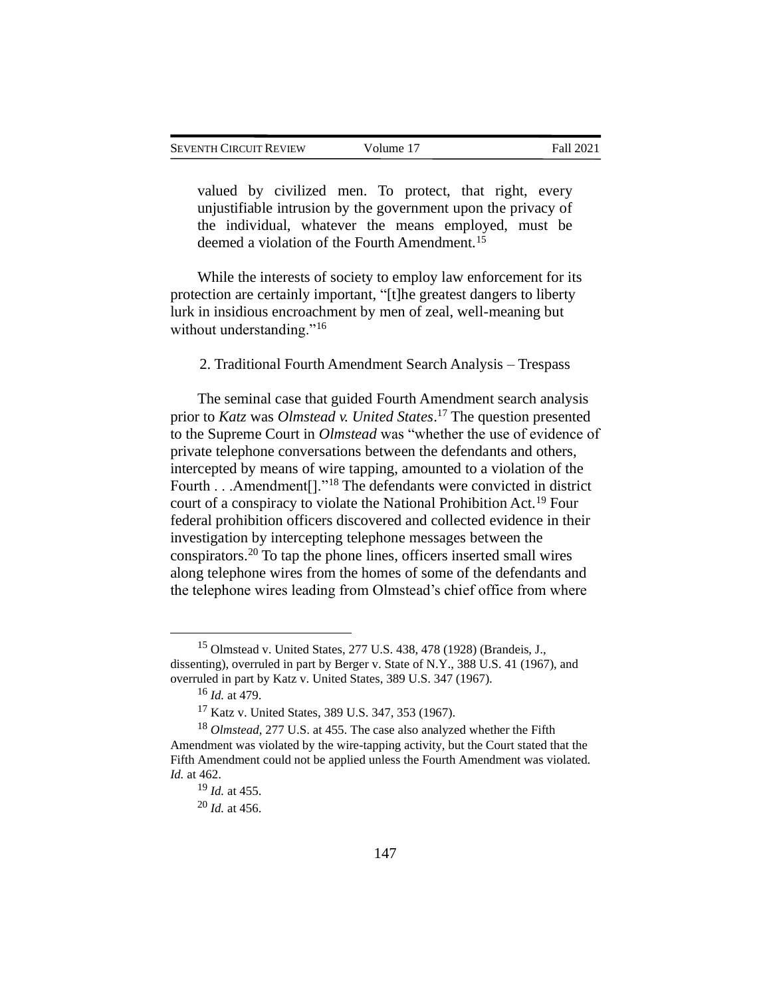valued by civilized men. To protect, that right, every unjustifiable intrusion by the government upon the privacy of the individual, whatever the means employed, must be deemed a violation of the Fourth Amendment.<sup>15</sup>

While the interests of society to employ law enforcement for its protection are certainly important, "[t]he greatest dangers to liberty lurk in insidious encroachment by men of zeal, well-meaning but without understanding."<sup>16</sup>

2. Traditional Fourth Amendment Search Analysis – Trespass

The seminal case that guided Fourth Amendment search analysis prior to *Katz* was *Olmstead v. United States*. <sup>17</sup> The question presented to the Supreme Court in *Olmstead* was "whether the use of evidence of private telephone conversations between the defendants and others, intercepted by means of wire tapping, amounted to a violation of the Fourth . . .Amendment<sup>[]</sup>."<sup>18</sup> The defendants were convicted in district court of a conspiracy to violate the National Prohibition Act.<sup>19</sup> Four federal prohibition officers discovered and collected evidence in their investigation by intercepting telephone messages between the conspirators.<sup>20</sup> To tap the phone lines, officers inserted small wires along telephone wires from the homes of some of the defendants and the telephone wires leading from Olmstead's chief office from where

<sup>15</sup> Olmstead v. United States, 277 U.S. 438, 478 (1928) (Brandeis, J., dissenting), overruled in part by Berger v. State of N.Y., 388 U.S. 41 (1967), and overruled in part by Katz v. United States, 389 U.S. 347 (1967).

<sup>16</sup> *Id.* at 479.

<sup>17</sup> Katz v. United States, 389 U.S. 347, 353 (1967).

<sup>18</sup> *Olmstead*, 277 U.S. at 455. The case also analyzed whether the Fifth Amendment was violated by the wire-tapping activity, but the Court stated that the Fifth Amendment could not be applied unless the Fourth Amendment was violated. *Id.* at 462.

<sup>19</sup> *Id.* at 455.

<sup>20</sup> *Id.* at 456.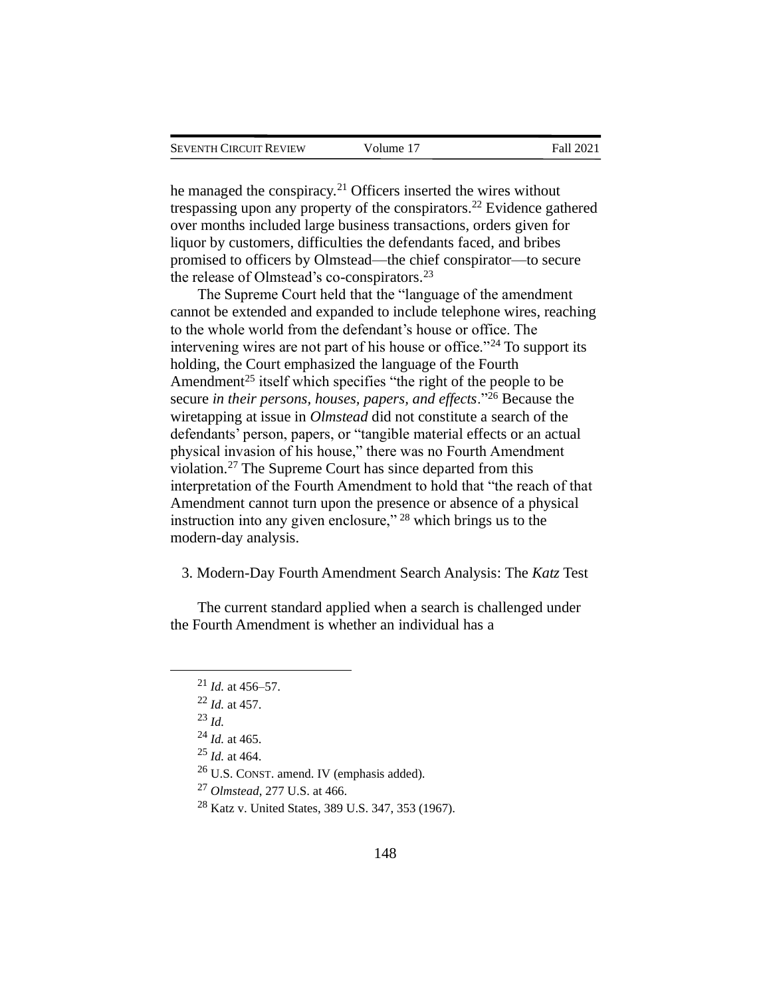he managed the conspiracy.<sup>21</sup> Officers inserted the wires without trespassing upon any property of the conspirators.<sup>22</sup> Evidence gathered over months included large business transactions, orders given for liquor by customers, difficulties the defendants faced, and bribes promised to officers by Olmstead—the chief conspirator—to secure the release of Olmstead's co-conspirators.<sup>23</sup>

The Supreme Court held that the "language of the amendment cannot be extended and expanded to include telephone wires, reaching to the whole world from the defendant's house or office. The intervening wires are not part of his house or office."<sup>24</sup> To support its holding, the Court emphasized the language of the Fourth Amendment<sup>25</sup> itself which specifies "the right of the people to be secure *in their persons, houses, papers, and effects*."<sup>26</sup> Because the wiretapping at issue in *Olmstead* did not constitute a search of the defendants' person, papers, or "tangible material effects or an actual physical invasion of his house," there was no Fourth Amendment violation.<sup>27</sup> The Supreme Court has since departed from this interpretation of the Fourth Amendment to hold that "the reach of that Amendment cannot turn upon the presence or absence of a physical instruction into any given enclosure," <sup>28</sup> which brings us to the modern-day analysis.

3. Modern-Day Fourth Amendment Search Analysis: The *Katz* Test

The current standard applied when a search is challenged under the Fourth Amendment is whether an individual has a

<sup>21</sup> *Id.* at 456–57.

<sup>22</sup> *Id.* at 457.

<sup>23</sup> *Id.*

<sup>24</sup> *Id.* at 465.

<sup>25</sup> *Id.* at 464.

<sup>26</sup> U.S. CONST. amend. IV (emphasis added).

<sup>27</sup> *Olmstead*, 277 U.S. at 466.

<sup>28</sup> Katz v. United States, 389 U.S. 347, 353 (1967).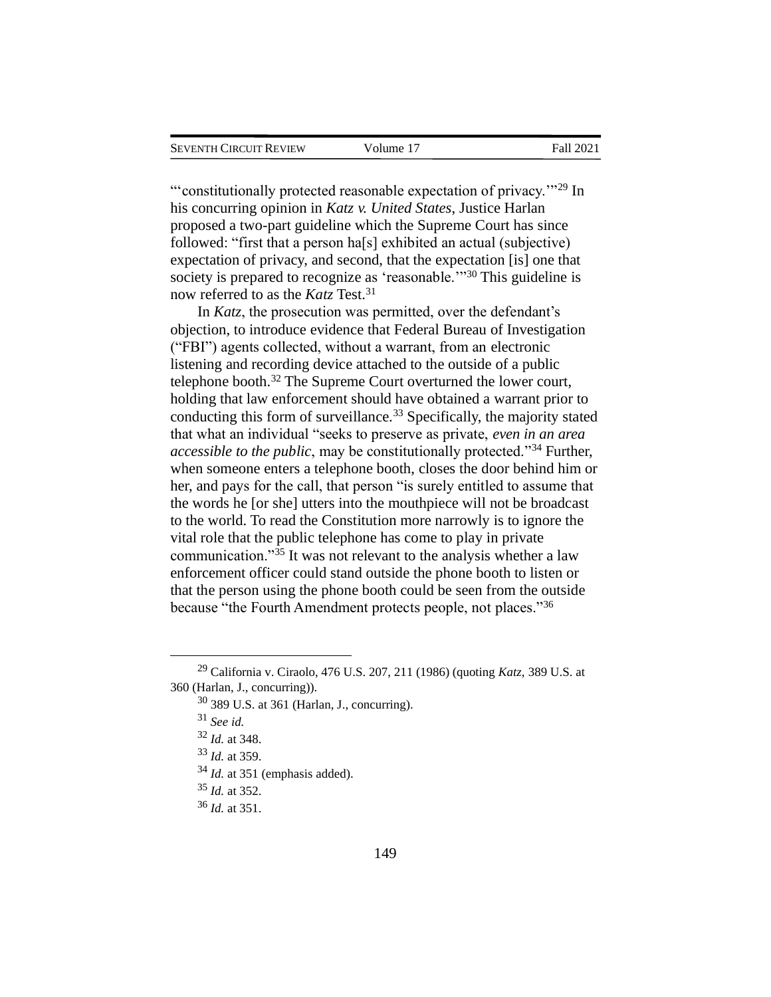"'constitutionally protected reasonable expectation of privacy."<sup>29</sup> In his concurring opinion in *Katz v. United States*, Justice Harlan proposed a two-part guideline which the Supreme Court has since followed: "first that a person ha[s] exhibited an actual (subjective) expectation of privacy, and second, that the expectation [is] one that society is prepared to recognize as 'reasonable.'<sup>30</sup> This guideline is now referred to as the *Katz* Test.<sup>31</sup>

In *Katz*, the prosecution was permitted, over the defendant's objection, to introduce evidence that Federal Bureau of Investigation ("FBI") agents collected, without a warrant, from an electronic listening and recording device attached to the outside of a public telephone booth.<sup>32</sup> The Supreme Court overturned the lower court, holding that law enforcement should have obtained a warrant prior to conducting this form of surveillance.<sup>33</sup> Specifically, the majority stated that what an individual "seeks to preserve as private, *even in an area accessible to the public*, may be constitutionally protected."<sup>34</sup> Further, when someone enters a telephone booth, closes the door behind him or her, and pays for the call, that person "is surely entitled to assume that the words he [or she] utters into the mouthpiece will not be broadcast to the world. To read the Constitution more narrowly is to ignore the vital role that the public telephone has come to play in private communication."<sup>35</sup> It was not relevant to the analysis whether a law enforcement officer could stand outside the phone booth to listen or that the person using the phone booth could be seen from the outside because "the Fourth Amendment protects people, not places."<sup>36</sup>

- <sup>35</sup> *Id.* at 352.
- <sup>36</sup> *Id.* at 351.

<sup>29</sup> California v. Ciraolo, 476 U.S. 207, 211 (1986) (quoting *Katz*, 389 U.S. at 360 (Harlan, J., concurring)).

 $30$  389 U.S. at 361 (Harlan, J., concurring).

<sup>31</sup> *See id.*

<sup>32</sup> *Id.* at 348.

<sup>33</sup> *Id.* at 359.

<sup>34</sup> *Id.* at 351 (emphasis added).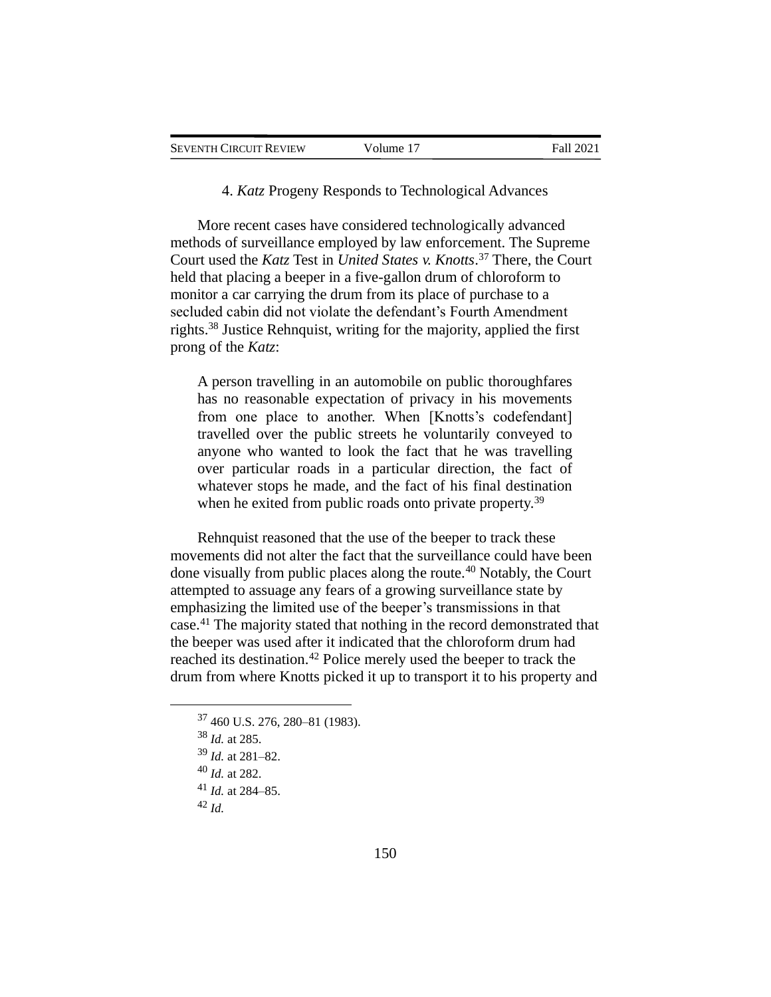4. *Katz* Progeny Responds to Technological Advances

More recent cases have considered technologically advanced methods of surveillance employed by law enforcement. The Supreme Court used the *Katz* Test in *United States v. Knotts*. <sup>37</sup> There, the Court held that placing a beeper in a five-gallon drum of chloroform to monitor a car carrying the drum from its place of purchase to a secluded cabin did not violate the defendant's Fourth Amendment rights.<sup>38</sup> Justice Rehnquist, writing for the majority, applied the first prong of the *Katz*:

A person travelling in an automobile on public thoroughfares has no reasonable expectation of privacy in his movements from one place to another. When [Knotts's codefendant] travelled over the public streets he voluntarily conveyed to anyone who wanted to look the fact that he was travelling over particular roads in a particular direction, the fact of whatever stops he made, and the fact of his final destination when he exited from public roads onto private property.<sup>39</sup>

Rehnquist reasoned that the use of the beeper to track these movements did not alter the fact that the surveillance could have been done visually from public places along the route.<sup>40</sup> Notably, the Court attempted to assuage any fears of a growing surveillance state by emphasizing the limited use of the beeper's transmissions in that case.<sup>41</sup> The majority stated that nothing in the record demonstrated that the beeper was used after it indicated that the chloroform drum had reached its destination.<sup>42</sup> Police merely used the beeper to track the drum from where Knotts picked it up to transport it to his property and

<sup>37</sup> 460 U.S. 276, 280–81 (1983).

<sup>38</sup> *Id.* at 285.

<sup>39</sup> *Id.* at 281–82.

<sup>40</sup> *Id.* at 282.

<sup>41</sup> *Id.* at 284–85.

<sup>42</sup> *Id.*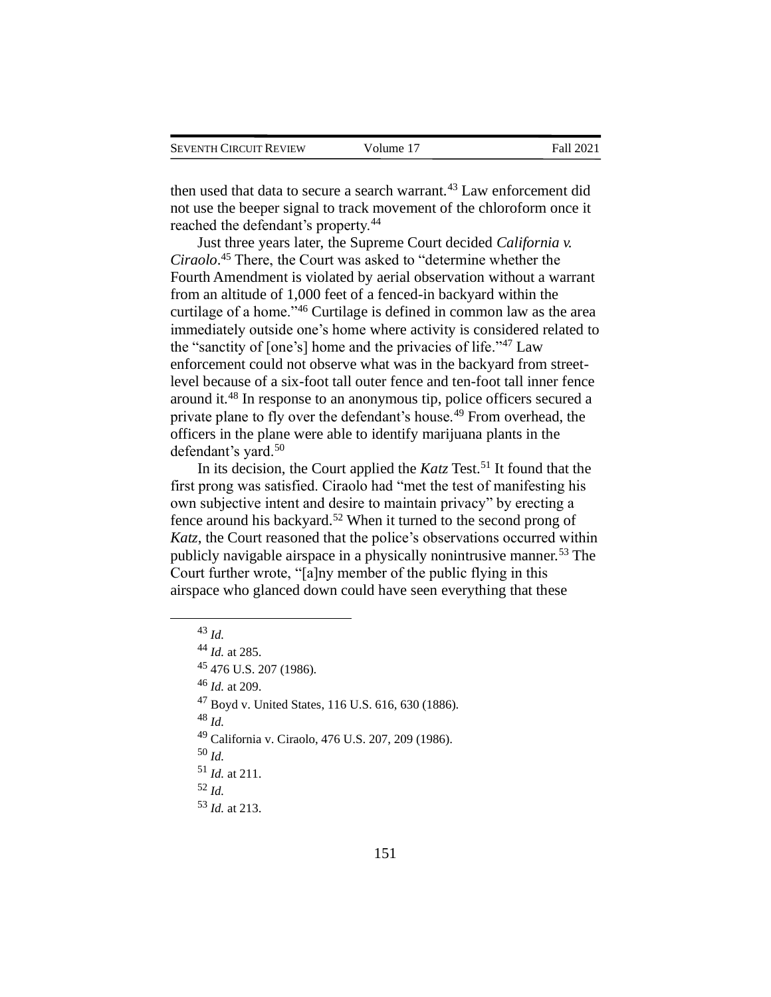| <b>SEVENTH CIRCUIT REVIEW</b> |  |
|-------------------------------|--|
|                               |  |

then used that data to secure a search warrant.<sup>43</sup> Law enforcement did not use the beeper signal to track movement of the chloroform once it reached the defendant's property.<sup>44</sup>

Just three years later, the Supreme Court decided *California v. Ciraolo*. <sup>45</sup> There, the Court was asked to "determine whether the Fourth Amendment is violated by aerial observation without a warrant from an altitude of 1,000 feet of a fenced-in backyard within the curtilage of a home."<sup>46</sup> Curtilage is defined in common law as the area immediately outside one's home where activity is considered related to the "sanctity of [one's] home and the privacies of life."<sup>47</sup> Law enforcement could not observe what was in the backyard from streetlevel because of a six-foot tall outer fence and ten-foot tall inner fence around it.<sup>48</sup> In response to an anonymous tip, police officers secured a private plane to fly over the defendant's house.<sup>49</sup> From overhead, the officers in the plane were able to identify marijuana plants in the defendant's yard.<sup>50</sup>

In its decision, the Court applied the *Katz* Test.<sup>51</sup> It found that the first prong was satisfied. Ciraolo had "met the test of manifesting his own subjective intent and desire to maintain privacy" by erecting a fence around his backyard.<sup>52</sup> When it turned to the second prong of *Katz*, the Court reasoned that the police's observations occurred within publicly navigable airspace in a physically nonintrusive manner.<sup>53</sup> The Court further wrote, "[a]ny member of the public flying in this airspace who glanced down could have seen everything that these

<sup>43</sup> *Id.*

<sup>44</sup> *Id.* at 285. <sup>45</sup> 476 U.S. 207 (1986). <sup>46</sup> *Id.* at 209. <sup>47</sup> Boyd v. United States, 116 U.S. 616, 630 (1886). <sup>48</sup> *Id.* <sup>49</sup> California v. Ciraolo, 476 U.S. 207, 209 (1986). <sup>50</sup> *Id.* <sup>51</sup> *Id.* at 211. <sup>52</sup> *Id.* <sup>53</sup> *Id.* at 213.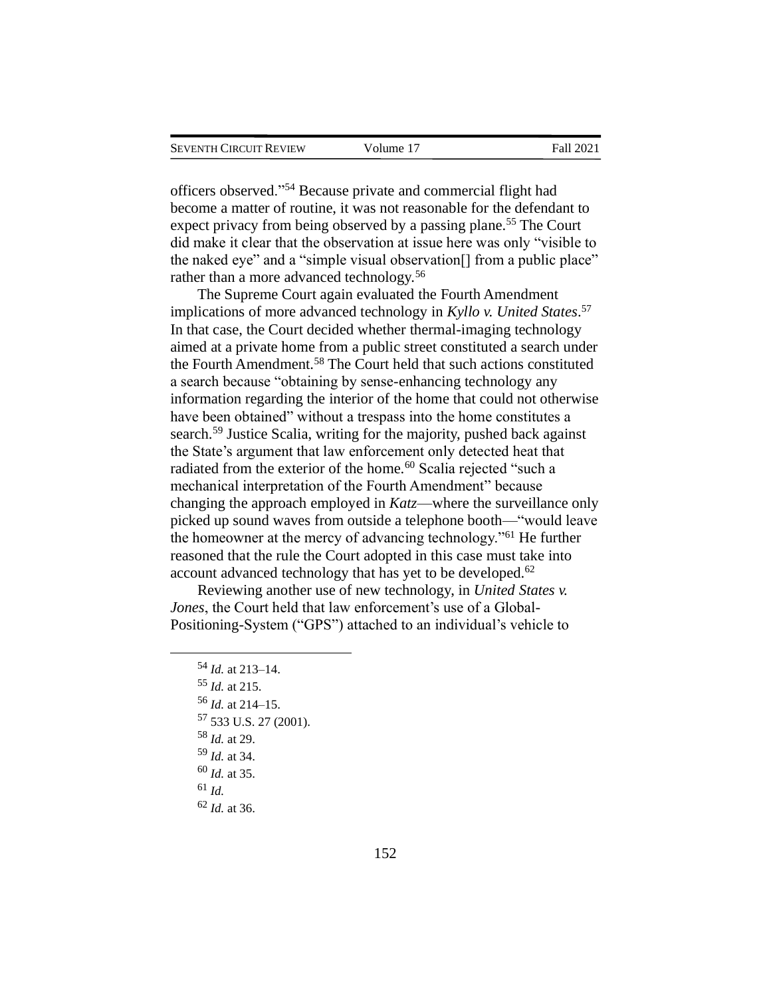officers observed."<sup>54</sup> Because private and commercial flight had become a matter of routine, it was not reasonable for the defendant to expect privacy from being observed by a passing plane.<sup>55</sup> The Court did make it clear that the observation at issue here was only "visible to the naked eye" and a "simple visual observation[] from a public place" rather than a more advanced technology.<sup>56</sup>

The Supreme Court again evaluated the Fourth Amendment implications of more advanced technology in *Kyllo v. United States*. 57 In that case, the Court decided whether thermal-imaging technology aimed at a private home from a public street constituted a search under the Fourth Amendment.<sup>58</sup> The Court held that such actions constituted a search because "obtaining by sense-enhancing technology any information regarding the interior of the home that could not otherwise have been obtained" without a trespass into the home constitutes a search.<sup>59</sup> Justice Scalia, writing for the majority, pushed back against the State's argument that law enforcement only detected heat that radiated from the exterior of the home.<sup>60</sup> Scalia rejected "such a mechanical interpretation of the Fourth Amendment" because changing the approach employed in *Katz*—where the surveillance only picked up sound waves from outside a telephone booth—"would leave the homeowner at the mercy of advancing technology."<sup>61</sup> He further reasoned that the rule the Court adopted in this case must take into account advanced technology that has yet to be developed.<sup>62</sup>

Reviewing another use of new technology, in *United States v. Jones*, the Court held that law enforcement's use of a Global-Positioning-System ("GPS") attached to an individual's vehicle to

<sup>54</sup> *Id.* at 213–14. <sup>55</sup> *Id.* at 215. <sup>56</sup> *Id.* at 214–15. <sup>57</sup> 533 U.S. 27 (2001). <sup>58</sup> *Id.* at 29. <sup>59</sup> *Id.* at 34. <sup>60</sup> *Id.* at 35. <sup>61</sup> *Id.* <sup>62</sup> *Id.* at 36.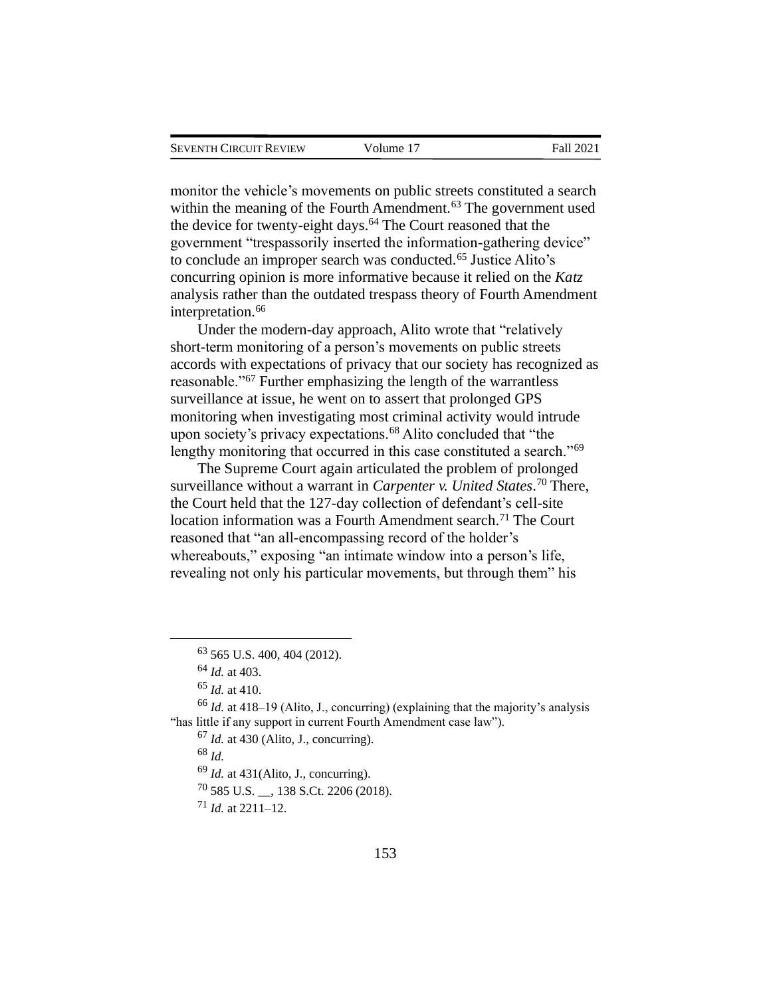monitor the vehicle's movements on public streets constituted a search within the meaning of the Fourth Amendment.<sup>63</sup> The government used the device for twenty-eight days.<sup>64</sup> The Court reasoned that the government "trespassorily inserted the information-gathering device" to conclude an improper search was conducted.<sup>65</sup> Justice Alito's concurring opinion is more informative because it relied on the *Katz* analysis rather than the outdated trespass theory of Fourth Amendment interpretation.<sup>66</sup>

Under the modern-day approach, Alito wrote that "relatively short-term monitoring of a person's movements on public streets accords with expectations of privacy that our society has recognized as reasonable."<sup>67</sup> Further emphasizing the length of the warrantless surveillance at issue, he went on to assert that prolonged GPS monitoring when investigating most criminal activity would intrude upon society's privacy expectations.<sup>68</sup> Alito concluded that "the lengthy monitoring that occurred in this case constituted a search."<sup>69</sup>

The Supreme Court again articulated the problem of prolonged surveillance without a warrant in *Carpenter v. United States*. <sup>70</sup> There, the Court held that the 127-day collection of defendant's cell-site location information was a Fourth Amendment search.<sup>71</sup> The Court reasoned that "an all-encompassing record of the holder's whereabouts," exposing "an intimate window into a person's life, revealing not only his particular movements, but through them" his

<sup>68</sup> *Id.*

<sup>69</sup> *Id.* at 431(Alito, J., concurring).

<sup>70</sup> 585 U.S. \_\_, 138 S.Ct. 2206 (2018).

<sup>71</sup> *Id.* at 2211–12.

<sup>63</sup> 565 U.S. 400, 404 (2012).

<sup>64</sup> *Id.* at 403.

<sup>65</sup> *Id.* at 410.

<sup>66</sup> *Id.* at 418–19 (Alito, J., concurring) (explaining that the majority's analysis "has little if any support in current Fourth Amendment case law").

<sup>67</sup> *Id.* at 430 (Alito, J., concurring).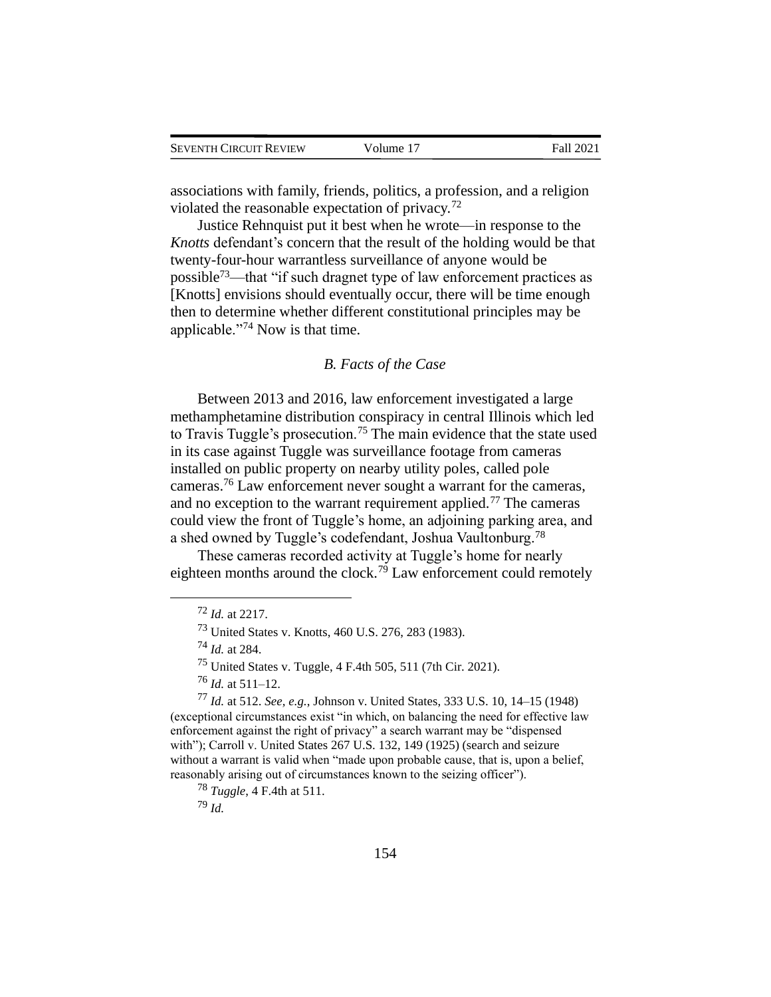| <b>SEVENTH CIRCUIT REVIEW</b> | Volume 17 | Fall 2021 |
|-------------------------------|-----------|-----------|
|-------------------------------|-----------|-----------|

associations with family, friends, politics, a profession, and a religion violated the reasonable expectation of privacy.<sup>72</sup>

Justice Rehnquist put it best when he wrote—in response to the *Knotts* defendant's concern that the result of the holding would be that twenty-four-hour warrantless surveillance of anyone would be possible<sup>73</sup>—that "if such dragnet type of law enforcement practices as [Knotts] envisions should eventually occur, there will be time enough then to determine whether different constitutional principles may be applicable."<sup>74</sup> Now is that time.

#### *B. Facts of the Case*

Between 2013 and 2016, law enforcement investigated a large methamphetamine distribution conspiracy in central Illinois which led to Travis Tuggle's prosecution.<sup>75</sup> The main evidence that the state used in its case against Tuggle was surveillance footage from cameras installed on public property on nearby utility poles, called pole cameras. <sup>76</sup> Law enforcement never sought a warrant for the cameras, and no exception to the warrant requirement applied.<sup>77</sup> The cameras could view the front of Tuggle's home, an adjoining parking area, and a shed owned by Tuggle's codefendant, Joshua Vaultonburg.<sup>78</sup>

These cameras recorded activity at Tuggle's home for nearly eighteen months around the clock.<sup>79</sup> Law enforcement could remotely

<sup>79</sup> *Id.*

<sup>72</sup> *Id.* at 2217.

<sup>73</sup> United States v. Knotts, 460 U.S. 276, 283 (1983).

<sup>74</sup> *Id.* at 284.

<sup>75</sup> United States v. Tuggle, 4 F.4th 505, 511 (7th Cir. 2021).

<sup>76</sup> *Id.* at 511–12.

<sup>77</sup> *Id.* at 512. *See, e.g.*, Johnson v. United States, 333 U.S. 10, 14–15 (1948) (exceptional circumstances exist "in which, on balancing the need for effective law enforcement against the right of privacy" a search warrant may be "dispensed with"); Carroll v. United States 267 U.S. 132, 149 (1925) (search and seizure without a warrant is valid when "made upon probable cause, that is, upon a belief, reasonably arising out of circumstances known to the seizing officer").

<sup>78</sup> *Tuggle*, 4 F.4th at 511.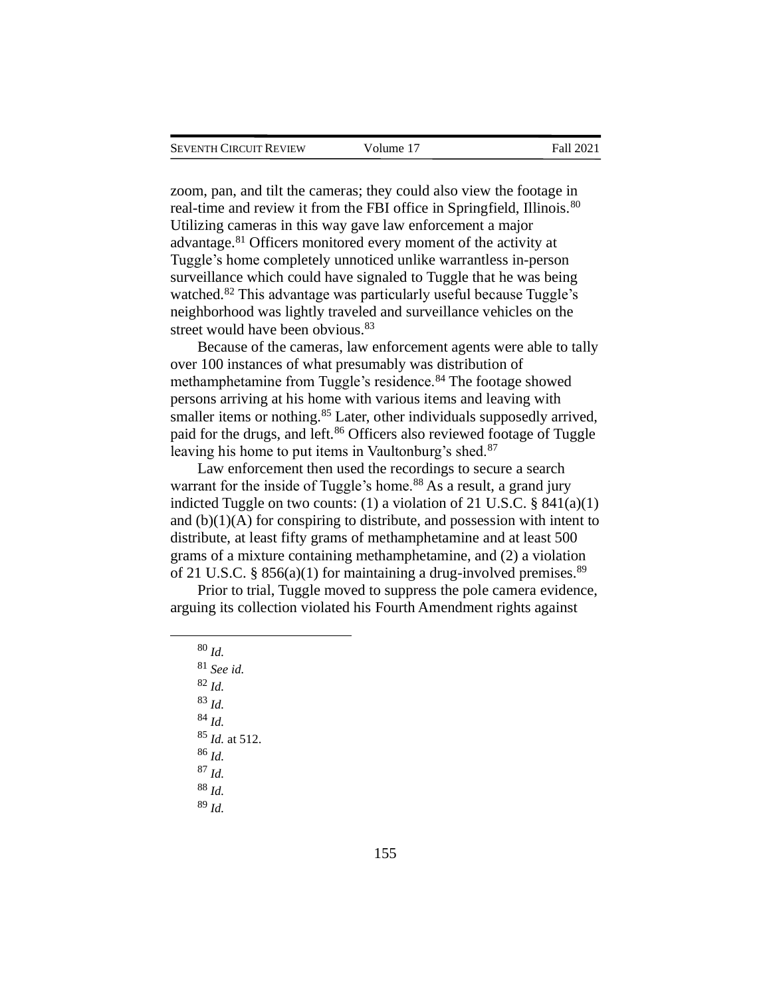zoom, pan, and tilt the cameras; they could also view the footage in real-time and review it from the FBI office in Springfield, Illinois.<sup>80</sup> Utilizing cameras in this way gave law enforcement a major advantage.<sup>81</sup> Officers monitored every moment of the activity at Tuggle's home completely unnoticed unlike warrantless in-person surveillance which could have signaled to Tuggle that he was being watched.<sup>82</sup> This advantage was particularly useful because Tuggle's neighborhood was lightly traveled and surveillance vehicles on the street would have been obvious.<sup>83</sup>

Because of the cameras, law enforcement agents were able to tally over 100 instances of what presumably was distribution of methamphetamine from Tuggle's residence.<sup>84</sup> The footage showed persons arriving at his home with various items and leaving with smaller items or nothing.<sup>85</sup> Later, other individuals supposedly arrived, paid for the drugs, and left.<sup>86</sup> Officers also reviewed footage of Tuggle leaving his home to put items in Vaultonburg's shed.<sup>87</sup>

Law enforcement then used the recordings to secure a search warrant for the inside of Tuggle's home.<sup>88</sup> As a result, a grand jury indicted Tuggle on two counts: (1) a violation of 21 U.S.C. § 841(a)(1) and  $(b)(1)(A)$  for conspiring to distribute, and possession with intent to distribute, at least fifty grams of methamphetamine and at least 500 grams of a mixture containing methamphetamine, and (2) a violation of 21 U.S.C. § 856(a)(1) for maintaining a drug-involved premises.<sup>89</sup>

Prior to trial, Tuggle moved to suppress the pole camera evidence, arguing its collection violated his Fourth Amendment rights against

<sup>80</sup> *Id.* <sup>81</sup> *See id.* <sup>82</sup> *Id.* <sup>83</sup> *Id.* <sup>84</sup> *Id.* <sup>85</sup> *Id.* at 512. <sup>86</sup> *Id.* <sup>87</sup> *Id.* <sup>88</sup> *Id.* <sup>89</sup> *Id.*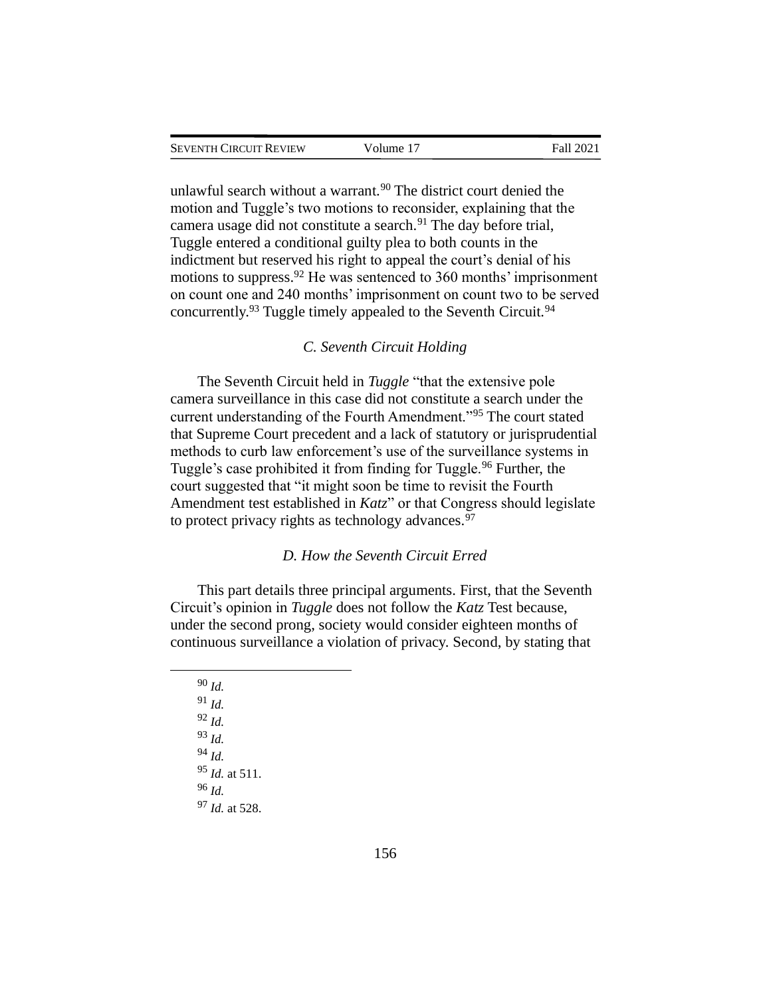unlawful search without a warrant.<sup>90</sup> The district court denied the motion and Tuggle's two motions to reconsider, explaining that the camera usage did not constitute a search.<sup>91</sup> The day before trial, Tuggle entered a conditional guilty plea to both counts in the indictment but reserved his right to appeal the court's denial of his motions to suppress.<sup>92</sup> He was sentenced to 360 months' imprisonment on count one and 240 months' imprisonment on count two to be served concurrently.<sup>93</sup> Tuggle timely appealed to the Seventh Circuit.<sup>94</sup>

# *C. Seventh Circuit Holding*

The Seventh Circuit held in *Tuggle* "that the extensive pole camera surveillance in this case did not constitute a search under the current understanding of the Fourth Amendment."<sup>95</sup> The court stated that Supreme Court precedent and a lack of statutory or jurisprudential methods to curb law enforcement's use of the surveillance systems in Tuggle's case prohibited it from finding for Tuggle.<sup>96</sup> Further, the court suggested that "it might soon be time to revisit the Fourth Amendment test established in *Katz*" or that Congress should legislate to protect privacy rights as technology advances.  $97$ 

## *D. How the Seventh Circuit Erred*

This part details three principal arguments. First, that the Seventh Circuit's opinion in *Tuggle* does not follow the *Katz* Test because, under the second prong, society would consider eighteen months of continuous surveillance a violation of privacy. Second, by stating that

<sup>90</sup> *Id.* <sup>91</sup> *Id.* <sup>92</sup> *Id.* <sup>93</sup> *Id.* <sup>94</sup> *Id.* <sup>95</sup> *Id.* at 511. <sup>96</sup> *Id.* <sup>97</sup> *Id.* at 528.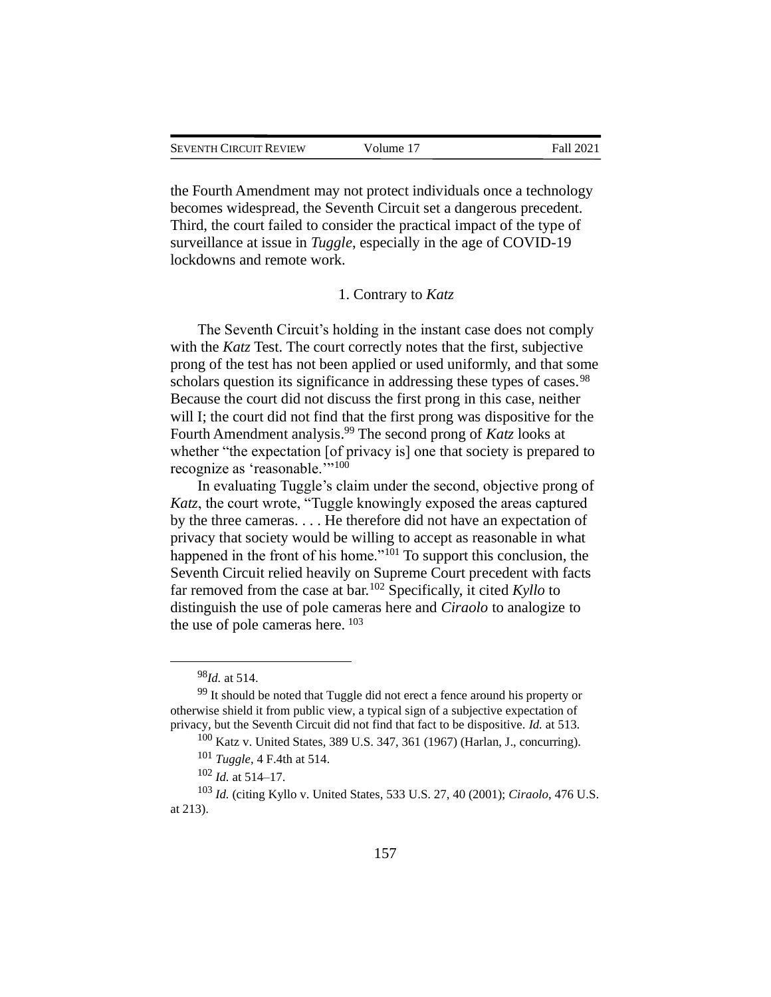the Fourth Amendment may not protect individuals once a technology becomes widespread, the Seventh Circuit set a dangerous precedent. Third, the court failed to consider the practical impact of the type of surveillance at issue in *Tuggle*, especially in the age of COVID-19 lockdowns and remote work.

## 1. Contrary to *Katz*

The Seventh Circuit's holding in the instant case does not comply with the *Katz* Test. The court correctly notes that the first, subjective prong of the test has not been applied or used uniformly, and that some scholars question its significance in addressing these types of cases.<sup>98</sup> Because the court did not discuss the first prong in this case, neither will I; the court did not find that the first prong was dispositive for the Fourth Amendment analysis. <sup>99</sup> The second prong of *Katz* looks at whether "the expectation [of privacy is] one that society is prepared to recognize as 'reasonable.'"<sup>100</sup>

In evaluating Tuggle's claim under the second, objective prong of *Katz*, the court wrote, "Tuggle knowingly exposed the areas captured by the three cameras. . . . He therefore did not have an expectation of privacy that society would be willing to accept as reasonable in what happened in the front of his home."<sup>101</sup> To support this conclusion, the Seventh Circuit relied heavily on Supreme Court precedent with facts far removed from the case at bar.<sup>102</sup> Specifically, it cited *Kyllo* to distinguish the use of pole cameras here and *Ciraolo* to analogize to the use of pole cameras here. <sup>103</sup>

<sup>98</sup>*Id.* at 514.

<sup>&</sup>lt;sup>99</sup> It should be noted that Tuggle did not erect a fence around his property or otherwise shield it from public view, a typical sign of a subjective expectation of privacy, but the Seventh Circuit did not find that fact to be dispositive. *Id.* at 513.

<sup>100</sup> Katz v. United States, 389 U.S. 347, 361 (1967) (Harlan, J., concurring).

<sup>101</sup> *Tuggle*, 4 F.4th at 514.

<sup>102</sup> *Id.* at 514–17.

<sup>103</sup> *Id.* (citing Kyllo v. United States, 533 U.S. 27, 40 (2001); *Ciraolo*, 476 U.S. at 213).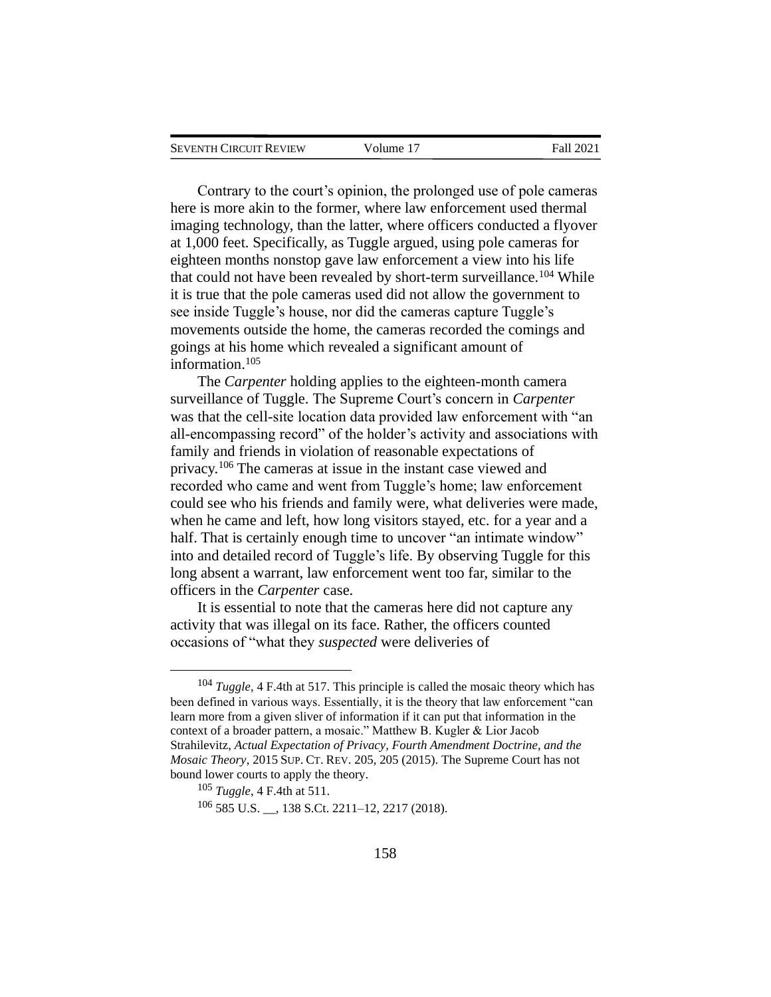| <b>SEVENTH CIRCUIT REVIEW</b> | Volume 17 | Fall 2021 |
|-------------------------------|-----------|-----------|
|                               |           |           |

Contrary to the court's opinion, the prolonged use of pole cameras here is more akin to the former, where law enforcement used thermal imaging technology, than the latter, where officers conducted a flyover at 1,000 feet. Specifically, as Tuggle argued, using pole cameras for eighteen months nonstop gave law enforcement a view into his life that could not have been revealed by short-term surveillance.<sup>104</sup> While it is true that the pole cameras used did not allow the government to see inside Tuggle's house, nor did the cameras capture Tuggle's movements outside the home, the cameras recorded the comings and goings at his home which revealed a significant amount of information.<sup>105</sup>

The *Carpenter* holding applies to the eighteen-month camera surveillance of Tuggle. The Supreme Court's concern in *Carpenter* was that the cell-site location data provided law enforcement with "an all-encompassing record" of the holder's activity and associations with family and friends in violation of reasonable expectations of privacy.<sup>106</sup> The cameras at issue in the instant case viewed and recorded who came and went from Tuggle's home; law enforcement could see who his friends and family were, what deliveries were made, when he came and left, how long visitors stayed, etc. for a year and a half. That is certainly enough time to uncover "an intimate window" into and detailed record of Tuggle's life. By observing Tuggle for this long absent a warrant, law enforcement went too far, similar to the officers in the *Carpenter* case.

It is essential to note that the cameras here did not capture any activity that was illegal on its face. Rather, the officers counted occasions of "what they *suspected* were deliveries of

<sup>104</sup> *Tuggle*, 4 F.4th at 517. This principle is called the mosaic theory which has been defined in various ways. Essentially, it is the theory that law enforcement "can learn more from a given sliver of information if it can put that information in the context of a broader pattern, a mosaic." Matthew B. Kugler & Lior Jacob Strahilevitz*, Actual Expectation of Privacy, Fourth Amendment Doctrine, and the Mosaic Theory*, 2015SUP. CT. REV. 205, 205 (2015). The Supreme Court has not bound lower courts to apply the theory.

<sup>105</sup> *Tuggle*, 4 F.4th at 511.

<sup>106</sup> 585 U.S. \_\_, 138 S.Ct. 2211–12, 2217 (2018).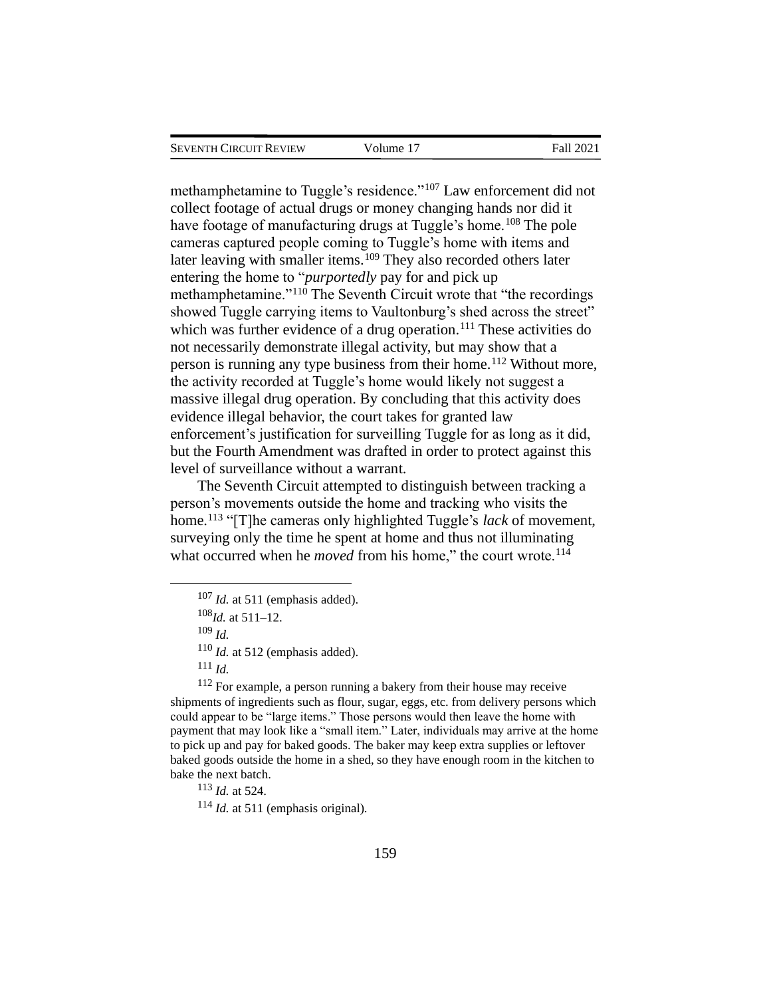| Seventh Circuit Review | Volume 17 | Fall 2021 |
|------------------------|-----------|-----------|
|                        |           |           |

methamphetamine to Tuggle's residence."<sup>107</sup> Law enforcement did not collect footage of actual drugs or money changing hands nor did it have footage of manufacturing drugs at Tuggle's home.<sup>108</sup> The pole cameras captured people coming to Tuggle's home with items and later leaving with smaller items.<sup>109</sup> They also recorded others later entering the home to "*purportedly* pay for and pick up methamphetamine."<sup>110</sup> The Seventh Circuit wrote that "the recordings showed Tuggle carrying items to Vaultonburg's shed across the street" which was further evidence of a drug operation.<sup>111</sup> These activities do not necessarily demonstrate illegal activity, but may show that a person is running any type business from their home.<sup>112</sup> Without more, the activity recorded at Tuggle's home would likely not suggest a massive illegal drug operation. By concluding that this activity does evidence illegal behavior, the court takes for granted law enforcement's justification for surveilling Tuggle for as long as it did, but the Fourth Amendment was drafted in order to protect against this level of surveillance without a warrant.

The Seventh Circuit attempted to distinguish between tracking a person's movements outside the home and tracking who visits the home.<sup>113</sup> "[T]he cameras only highlighted Tuggle's *lack* of movement, surveying only the time he spent at home and thus not illuminating what occurred when he *moved* from his home," the court wrote.<sup>114</sup>

<sup>112</sup> For example, a person running a bakery from their house may receive shipments of ingredients such as flour, sugar, eggs, etc. from delivery persons which could appear to be "large items." Those persons would then leave the home with payment that may look like a "small item." Later, individuals may arrive at the home to pick up and pay for baked goods. The baker may keep extra supplies or leftover baked goods outside the home in a shed, so they have enough room in the kitchen to bake the next batch.

<sup>113</sup> *Id.* at 524.

<sup>114</sup> *Id.* at 511 (emphasis original).

<sup>107</sup> *Id.* at 511 (emphasis added).

<sup>108</sup>*Id.* at 511–12.

<sup>109</sup> *Id.*

<sup>110</sup> *Id.* at 512 (emphasis added).

<sup>111</sup> *Id.*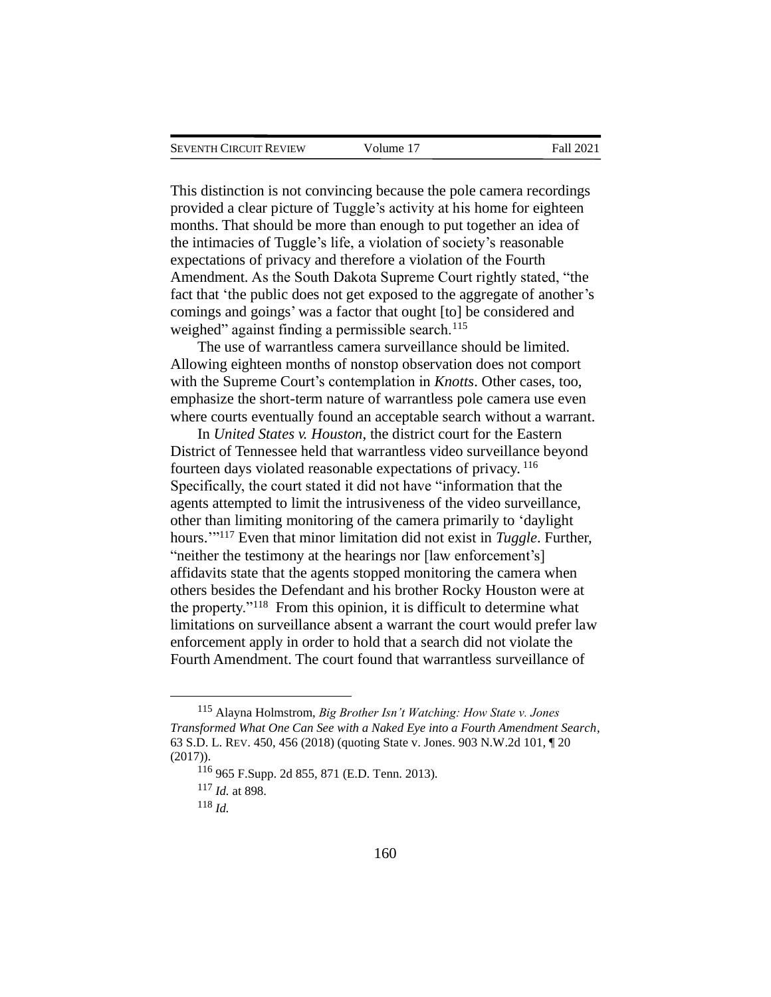This distinction is not convincing because the pole camera recordings provided a clear picture of Tuggle's activity at his home for eighteen months. That should be more than enough to put together an idea of the intimacies of Tuggle's life, a violation of society's reasonable expectations of privacy and therefore a violation of the Fourth Amendment. As the South Dakota Supreme Court rightly stated, "the fact that 'the public does not get exposed to the aggregate of another's comings and goings' was a factor that ought [to] be considered and weighed" against finding a permissible search. $115$ 

The use of warrantless camera surveillance should be limited. Allowing eighteen months of nonstop observation does not comport with the Supreme Court's contemplation in *Knotts*. Other cases, too, emphasize the short-term nature of warrantless pole camera use even where courts eventually found an acceptable search without a warrant.

In *United States v. Houston*, the district court for the Eastern District of Tennessee held that warrantless video surveillance beyond fourteen days violated reasonable expectations of privacy. 116 Specifically, the court stated it did not have "information that the agents attempted to limit the intrusiveness of the video surveillance, other than limiting monitoring of the camera primarily to 'daylight hours.'" <sup>117</sup> Even that minor limitation did not exist in *Tuggle*. Further, "neither the testimony at the hearings nor [law enforcement's] affidavits state that the agents stopped monitoring the camera when others besides the Defendant and his brother Rocky Houston were at the property."<sup>118</sup> From this opinion, it is difficult to determine what limitations on surveillance absent a warrant the court would prefer law enforcement apply in order to hold that a search did not violate the Fourth Amendment. The court found that warrantless surveillance of

<sup>115</sup> Alayna Holmstrom, *Big Brother Isn't Watching: How State v. Jones Transformed What One Can See with a Naked Eye into a Fourth Amendment Search*, 63 S.D. L. REV. 450, 456 (2018) (quoting State v. Jones. 903 N.W.2d 101, ¶ 20 (2017)).

<sup>116</sup> 965 F.Supp. 2d 855, 871 (E.D. Tenn. 2013).

<sup>117</sup> *Id.* at 898.

<sup>118</sup> *Id.*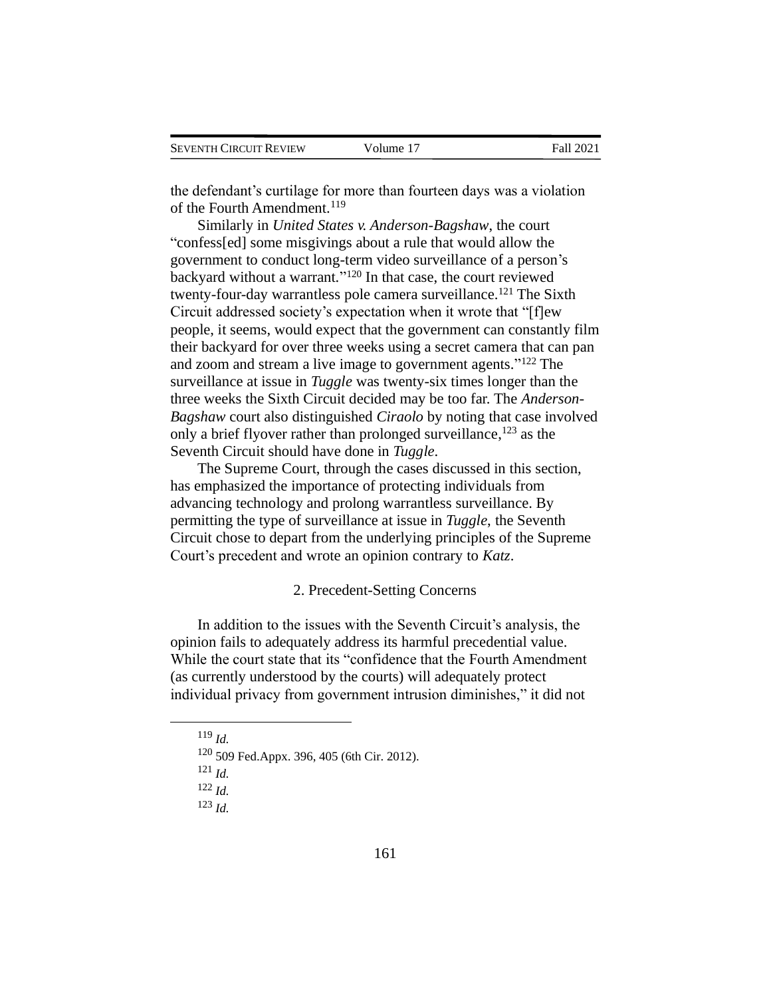| <b>SEVENTH CIRCUIT REVIEW</b> | Volume 17 | Fall 2021 |
|-------------------------------|-----------|-----------|
|                               |           |           |

the defendant's curtilage for more than fourteen days was a violation of the Fourth Amendment.<sup>119</sup>

Similarly in *United States v. Anderson-Bagshaw*, the court "confess[ed] some misgivings about a rule that would allow the government to conduct long-term video surveillance of a person's backyard without a warrant." <sup>120</sup> In that case, the court reviewed twenty-four-day warrantless pole camera surveillance.<sup>121</sup> The Sixth Circuit addressed society's expectation when it wrote that "[f]ew people, it seems, would expect that the government can constantly film their backyard for over three weeks using a secret camera that can pan and zoom and stream a live image to government agents." <sup>122</sup> The surveillance at issue in *Tuggle* was twenty-six times longer than the three weeks the Sixth Circuit decided may be too far. The *Anderson-Bagshaw* court also distinguished *Ciraolo* by noting that case involved only a brief flyover rather than prolonged surveillance, <sup>123</sup> as the Seventh Circuit should have done in *Tuggle*.

The Supreme Court, through the cases discussed in this section, has emphasized the importance of protecting individuals from advancing technology and prolong warrantless surveillance. By permitting the type of surveillance at issue in *Tuggle*, the Seventh Circuit chose to depart from the underlying principles of the Supreme Court's precedent and wrote an opinion contrary to *Katz*.

# 2. Precedent-Setting Concerns

In addition to the issues with the Seventh Circuit's analysis, the opinion fails to adequately address its harmful precedential value. While the court state that its "confidence that the Fourth Amendment (as currently understood by the courts) will adequately protect individual privacy from government intrusion diminishes," it did not

<sup>119</sup> *Id.*

<sup>120</sup> 509 Fed.Appx. 396, 405 (6th Cir. 2012).

<sup>121</sup> *Id.*

<sup>122</sup> *Id.*

<sup>123</sup> *Id.*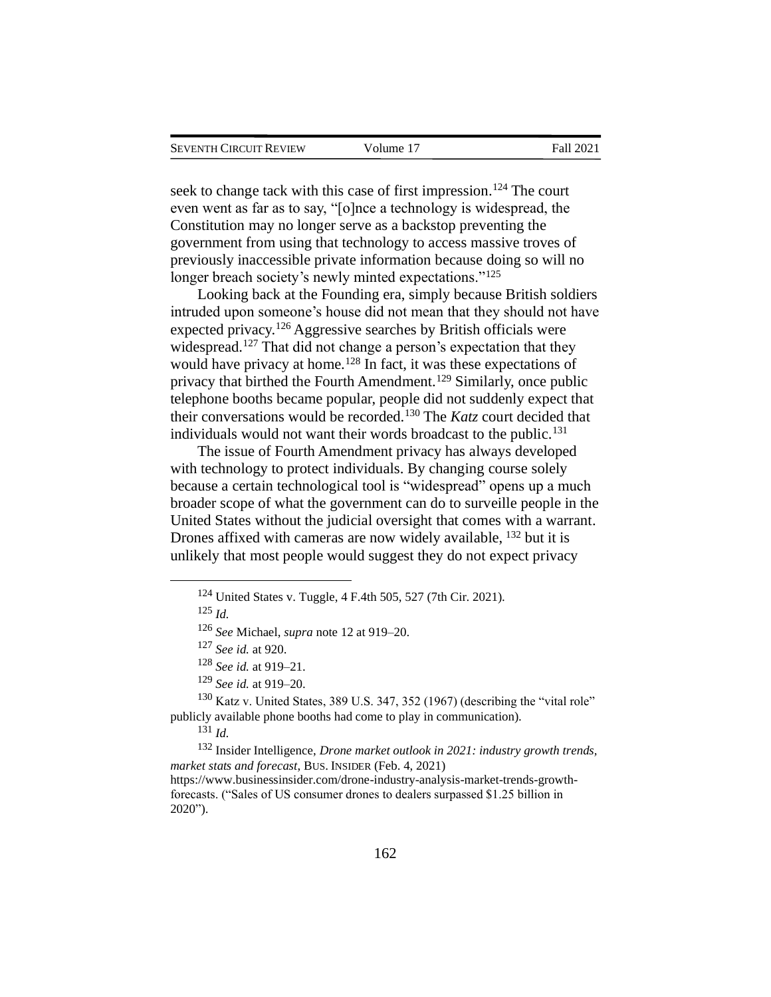| Seventh Circuit Review | Volume 17 | Fall 2021 |
|------------------------|-----------|-----------|
|                        |           |           |

seek to change tack with this case of first impression.<sup>124</sup> The court even went as far as to say, "[o]nce a technology is widespread, the Constitution may no longer serve as a backstop preventing the government from using that technology to access massive troves of previously inaccessible private information because doing so will no longer breach society's newly minted expectations."<sup>125</sup>

Looking back at the Founding era, simply because British soldiers intruded upon someone's house did not mean that they should not have expected privacy.<sup>126</sup> Aggressive searches by British officials were widespread.<sup>127</sup> That did not change a person's expectation that they would have privacy at home.<sup>128</sup> In fact, it was these expectations of privacy that birthed the Fourth Amendment.<sup>129</sup> Similarly, once public telephone booths became popular, people did not suddenly expect that their conversations would be recorded.<sup>130</sup> The *Katz* court decided that individuals would not want their words broadcast to the public.<sup>131</sup>

The issue of Fourth Amendment privacy has always developed with technology to protect individuals. By changing course solely because a certain technological tool is "widespread" opens up a much broader scope of what the government can do to surveille people in the United States without the judicial oversight that comes with a warrant. Drones affixed with cameras are now widely available, <sup>132</sup> but it is unlikely that most people would suggest they do not expect privacy

<sup>129</sup> *See id.* at 919–20.

<sup>130</sup> Katz v. United States, 389 U.S. 347, 352 (1967) (describing the "vital role" publicly available phone booths had come to play in communication).

<sup>131</sup> *Id.*

<sup>132</sup> Insider Intelligence, *Drone market outlook in 2021: industry growth trends, market stats and forecast*, BUS. INSIDER (Feb. 4, 2021) https://www.businessinsider.com/drone-industry-analysis-market-trends-growth-

forecasts. ("Sales of US consumer drones to dealers surpassed \$1.25 billion in 2020").

<sup>124</sup> United States v. Tuggle, 4 F.4th 505, 527 (7th Cir. 2021).

<sup>125</sup> *Id.*

<sup>126</sup> *See* Michael, *supra* note 12 at 919–20.

<sup>127</sup> *See id.* at 920.

<sup>128</sup> *See id.* at 919–21.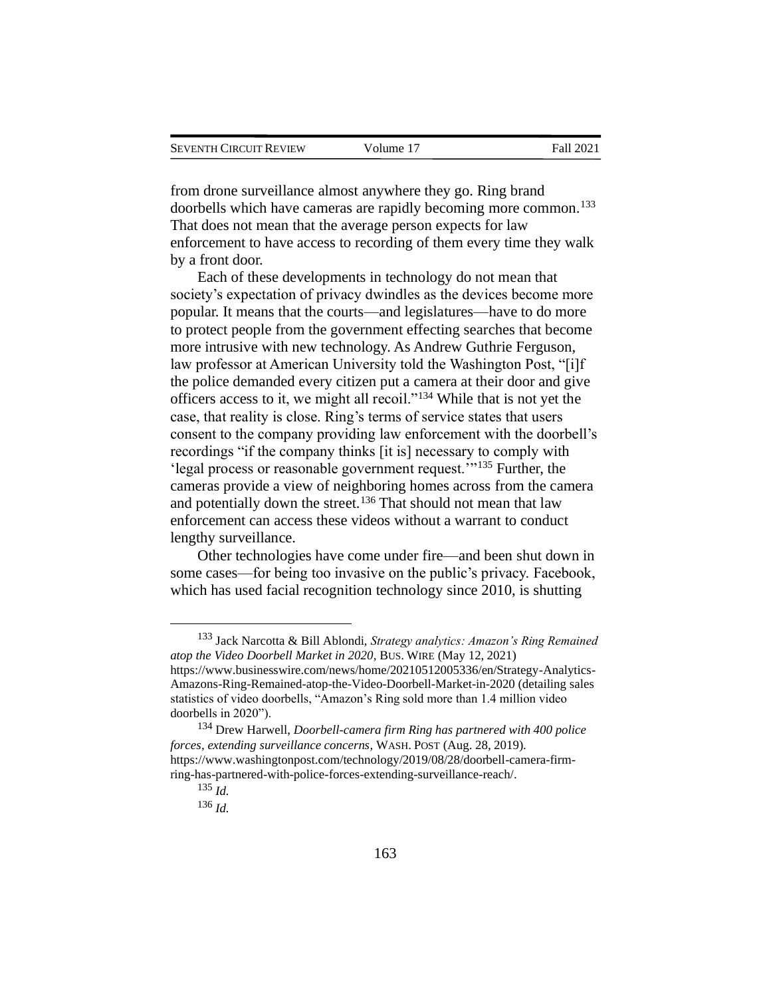from drone surveillance almost anywhere they go. Ring brand doorbells which have cameras are rapidly becoming more common.<sup>133</sup> That does not mean that the average person expects for law enforcement to have access to recording of them every time they walk by a front door.

Each of these developments in technology do not mean that society's expectation of privacy dwindles as the devices become more popular. It means that the courts—and legislatures—have to do more to protect people from the government effecting searches that become more intrusive with new technology. As Andrew Guthrie Ferguson, law professor at American University told the Washington Post, "[i]f the police demanded every citizen put a camera at their door and give officers access to it, we might all recoil."<sup>134</sup> While that is not yet the case, that reality is close. Ring's terms of service states that users consent to the company providing law enforcement with the doorbell's recordings "if the company thinks [it is] necessary to comply with 'legal process or reasonable government request.'"<sup>135</sup> Further, the cameras provide a view of neighboring homes across from the camera and potentially down the street.<sup>136</sup> That should not mean that law enforcement can access these videos without a warrant to conduct lengthy surveillance.

Other technologies have come under fire—and been shut down in some cases—for being too invasive on the public's privacy. Facebook, which has used facial recognition technology since 2010, is shutting

<sup>133</sup> Jack Narcotta & Bill Ablondi, *Strategy analytics: Amazon's Ring Remained atop the Video Doorbell Market in 2020*, BUS. WIRE (May 12, 2021) https://www.businesswire.com/news/home/20210512005336/en/Strategy-Analytics-Amazons-Ring-Remained-atop-the-Video-Doorbell-Market-in-2020 (detailing sales statistics of video doorbells, "Amazon's Ring sold more than 1.4 million video doorbells in 2020").

<sup>134</sup> Drew Harwell, *Doorbell-camera firm Ring has partnered with 400 police forces, extending surveillance concerns*, WASH.POST (Aug. 28, 2019). https://www.washingtonpost.com/technology/2019/08/28/doorbell-camera-firmring-has-partnered-with-police-forces-extending-surveillance-reach/.

<sup>135</sup> *Id.*

<sup>136</sup> *Id.*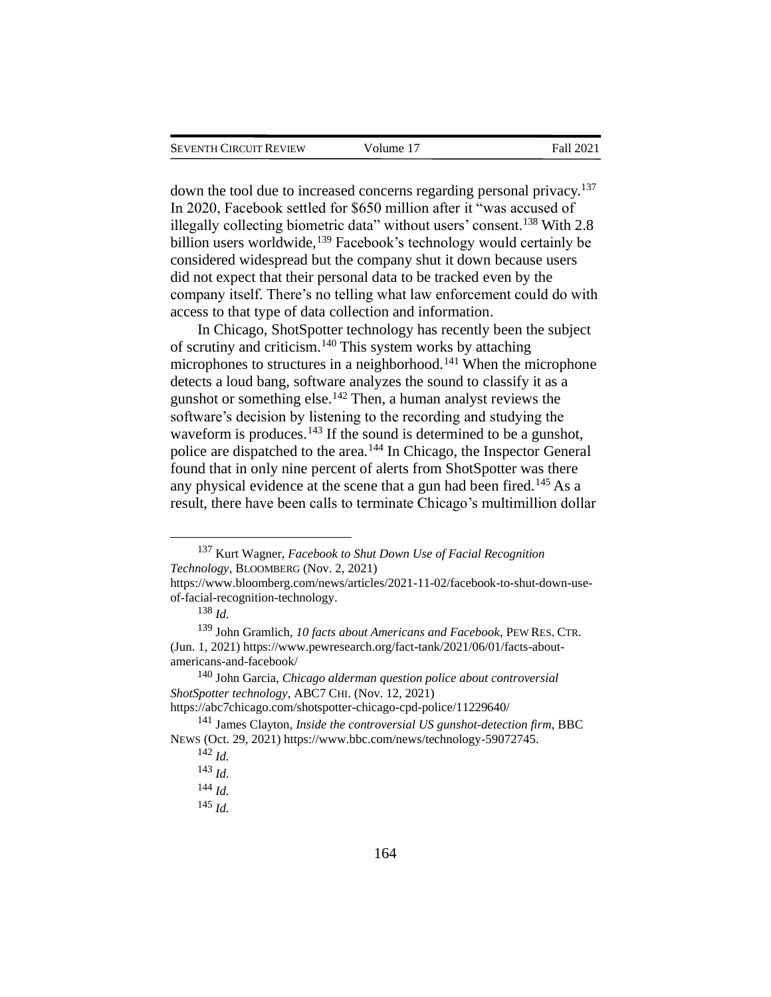| <b>SEVENTH CIRCUIT REVIEW</b> |  |
|-------------------------------|--|
|                               |  |

down the tool due to increased concerns regarding personal privacy.<sup>137</sup> In 2020, Facebook settled for \$650 million after it "was accused of illegally collecting biometric data" without users' consent.<sup>138</sup> With 2.8 billion users worldwide,<sup>139</sup> Facebook's technology would certainly be considered widespread but the company shut it down because users did not expect that their personal data to be tracked even by the company itself. There's no telling what law enforcement could do with access to that type of data collection and information.

In Chicago, ShotSpotter technology has recently been the subject of scrutiny and criticism.<sup>140</sup> This system works by attaching microphones to structures in a neighborhood.<sup>141</sup> When the microphone detects a loud bang, software analyzes the sound to classify it as a gunshot or something else.<sup>142</sup> Then, a human analyst reviews the software's decision by listening to the recording and studying the waveform is produces.<sup>143</sup> If the sound is determined to be a gunshot, police are dispatched to the area.<sup>144</sup> In Chicago, the Inspector General found that in only nine percent of alerts from ShotSpotter was there any physical evidence at the scene that a gun had been fired.<sup>145</sup> As a result, there have been calls to terminate Chicago's multimillion dollar

<sup>137</sup> Kurt Wagner, *Facebook to Shut Down Use of Facial Recognition Technology*, BLOOMBERG (Nov. 2, 2021)

https://www.bloomberg.com/news/articles/2021-11-02/facebook-to-shut-down-useof-facial-recognition-technology.

<sup>138</sup> *Id.*

<sup>139</sup> John Gramlich, *10 facts about Americans and Facebook*, PEW RES. CTR. (Jun. 1, 2021) https://www.pewresearch.org/fact-tank/2021/06/01/facts-aboutamericans-and-facebook/

<sup>140</sup> John Garcia, *Chicago alderman question police about controversial ShotSpotter technology*, ABC7 CHI. (Nov. 12, 2021)

https://abc7chicago.com/shotspotter-chicago-cpd-police/11229640/

<sup>141</sup> James Clayton, *Inside the controversial US gunshot-detection firm*, BBC NEWS (Oct. 29, 2021) https://www.bbc.com/news/technology-59072745.

<sup>142</sup> *Id.*

<sup>143</sup> *Id.*

<sup>144</sup> *Id.*

<sup>145</sup> *Id.*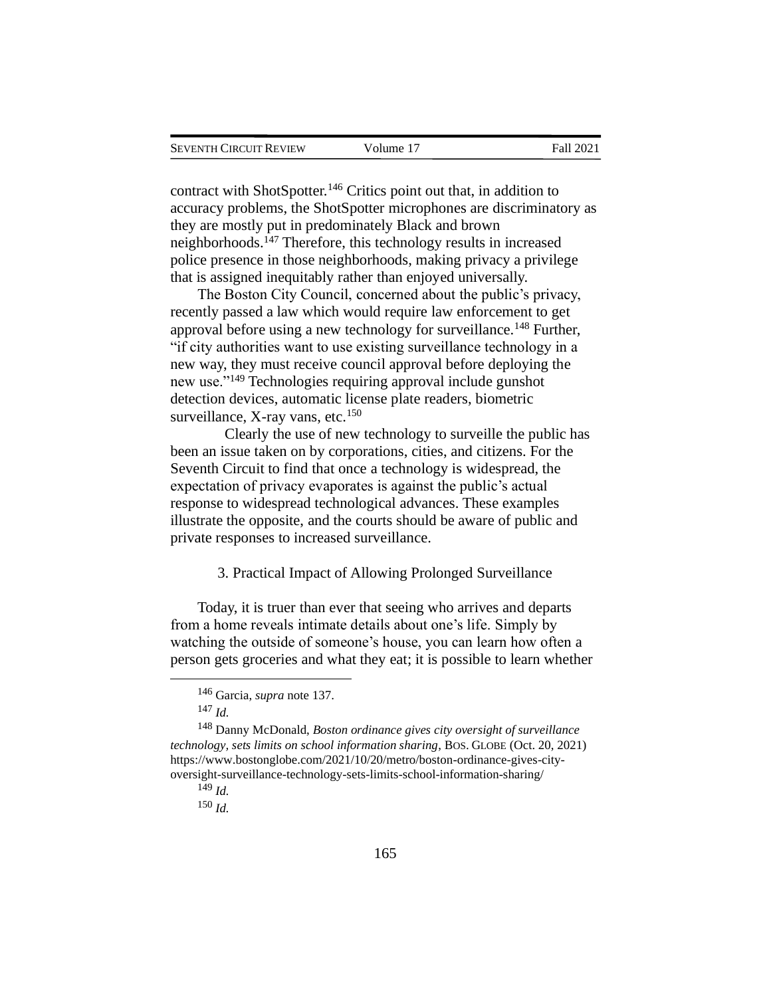contract with ShotSpotter.<sup>146</sup> Critics point out that, in addition to accuracy problems, the ShotSpotter microphones are discriminatory as they are mostly put in predominately Black and brown neighborhoods.<sup>147</sup> Therefore, this technology results in increased police presence in those neighborhoods, making privacy a privilege that is assigned inequitably rather than enjoyed universally.

The Boston City Council, concerned about the public's privacy, recently passed a law which would require law enforcement to get approval before using a new technology for surveillance.<sup>148</sup> Further, "if city authorities want to use existing surveillance technology in a new way, they must receive council approval before deploying the new use."<sup>149</sup> Technologies requiring approval include gunshot detection devices, automatic license plate readers, biometric surveillance, X-ray vans, etc. $150$ 

Clearly the use of new technology to surveille the public has been an issue taken on by corporations, cities, and citizens. For the Seventh Circuit to find that once a technology is widespread, the expectation of privacy evaporates is against the public's actual response to widespread technological advances. These examples illustrate the opposite, and the courts should be aware of public and private responses to increased surveillance.

#### 3. Practical Impact of Allowing Prolonged Surveillance

Today, it is truer than ever that seeing who arrives and departs from a home reveals intimate details about one's life. Simply by watching the outside of someone's house, you can learn how often a person gets groceries and what they eat; it is possible to learn whether

<sup>146</sup> Garcia, *supra* note 137.

<sup>147</sup> *Id.*

<sup>148</sup> Danny McDonald, *Boston ordinance gives city oversight of surveillance technology, sets limits on school information sharing*, BOS. GLOBE (Oct. 20, 2021) https://www.bostonglobe.com/2021/10/20/metro/boston-ordinance-gives-cityoversight-surveillance-technology-sets-limits-school-information-sharing/

<sup>149</sup> *Id.*

<sup>150</sup> *Id.*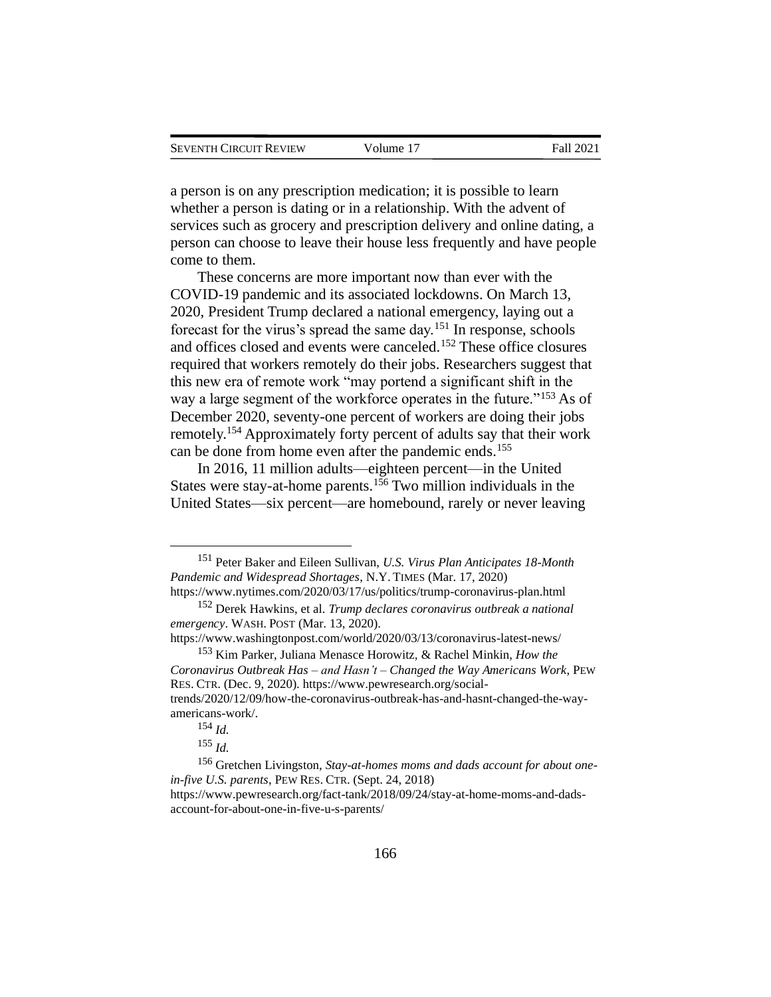a person is on any prescription medication; it is possible to learn whether a person is dating or in a relationship. With the advent of services such as grocery and prescription delivery and online dating, a person can choose to leave their house less frequently and have people come to them.

These concerns are more important now than ever with the COVID-19 pandemic and its associated lockdowns. On March 13, 2020, President Trump declared a national emergency, laying out a forecast for the virus's spread the same day.<sup>151</sup> In response, schools and offices closed and events were canceled.<sup>152</sup> These office closures required that workers remotely do their jobs. Researchers suggest that this new era of remote work "may portend a significant shift in the way a large segment of the workforce operates in the future."<sup>153</sup> As of December 2020, seventy-one percent of workers are doing their jobs remotely.<sup>154</sup> Approximately forty percent of adults say that their work can be done from home even after the pandemic ends.<sup>155</sup>

In 2016, 11 million adults—eighteen percent—in the United States were stay-at-home parents.<sup>156</sup> Two million individuals in the United States—six percent—are homebound, rarely or never leaving

<sup>151</sup> Peter Baker and Eileen Sullivan, *U.S. Virus Plan Anticipates 18-Month Pandemic and Widespread Shortages*, N.Y. TIMES (Mar. 17, 2020) https://www.nytimes.com/2020/03/17/us/politics/trump-coronavirus-plan.html

<sup>152</sup> Derek Hawkins, et al. *Trump declares coronavirus outbreak a national emergency*. WASH.POST (Mar. 13, 2020).

https://www.washingtonpost.com/world/2020/03/13/coronavirus-latest-news/ <sup>153</sup> Kim Parker, Juliana Menasce Horowitz, & Rachel Minkin, *How the* 

*Coronavirus Outbreak Has – and Hasn't – Changed the Way Americans Work*, PEW RES. CTR. (Dec. 9, 2020). https://www.pewresearch.org/socialtrends/2020/12/09/how-the-coronavirus-outbreak-has-and-hasnt-changed-the-wayamericans-work/.

<sup>154</sup> *Id.*

<sup>155</sup> *Id.*

<sup>156</sup> Gretchen Livingston, *Stay-at-homes moms and dads account for about onein-five U.S. parents*, PEW RES. CTR. (Sept. 24, 2018)

https://www.pewresearch.org/fact-tank/2018/09/24/stay-at-home-moms-and-dadsaccount-for-about-one-in-five-u-s-parents/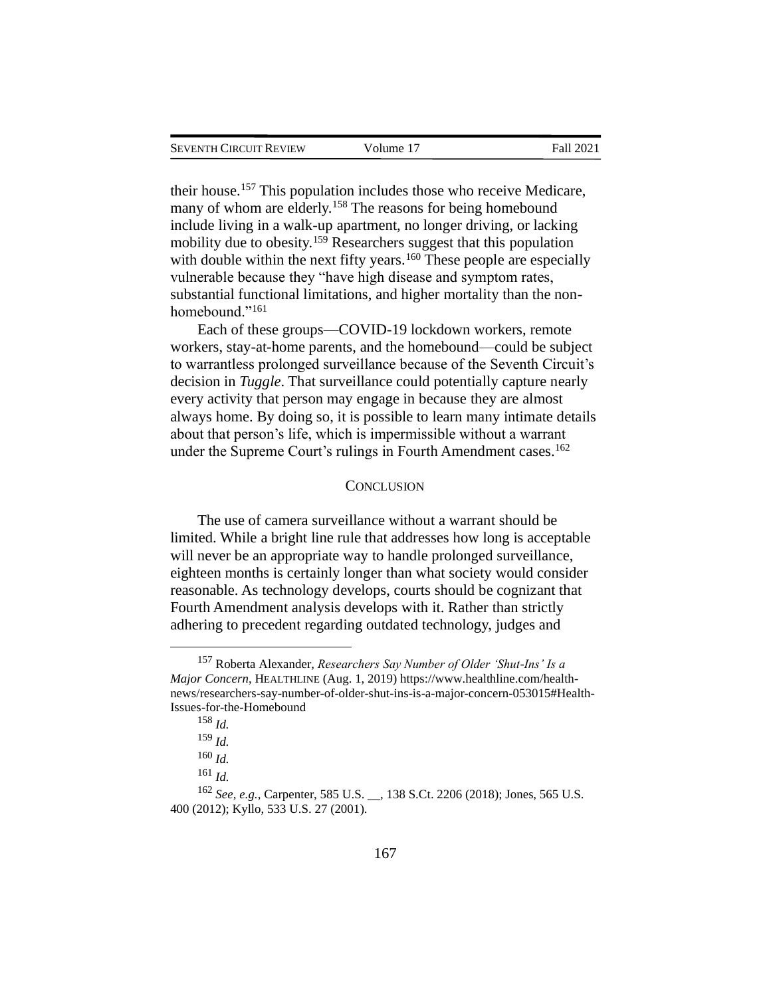their house.<sup>157</sup> This population includes those who receive Medicare, many of whom are elderly.<sup>158</sup> The reasons for being homebound include living in a walk-up apartment, no longer driving, or lacking mobility due to obesity.<sup>159</sup> Researchers suggest that this population with double within the next fifty years.<sup>160</sup> These people are especially vulnerable because they "have high disease and symptom rates, substantial functional limitations, and higher mortality than the nonhomebound."<sup>161</sup>

Each of these groups—COVID-19 lockdown workers, remote workers, stay-at-home parents, and the homebound—could be subject to warrantless prolonged surveillance because of the Seventh Circuit's decision in *Tuggle*. That surveillance could potentially capture nearly every activity that person may engage in because they are almost always home. By doing so, it is possible to learn many intimate details about that person's life, which is impermissible without a warrant under the Supreme Court's rulings in Fourth Amendment cases.<sup>162</sup>

# **CONCLUSION**

The use of camera surveillance without a warrant should be limited. While a bright line rule that addresses how long is acceptable will never be an appropriate way to handle prolonged surveillance, eighteen months is certainly longer than what society would consider reasonable. As technology develops, courts should be cognizant that Fourth Amendment analysis develops with it. Rather than strictly adhering to precedent regarding outdated technology, judges and

<sup>157</sup> Roberta Alexander, *Researchers Say Number of Older 'Shut-Ins' Is a Major Concern*, HEALTHLINE (Aug. 1, 2019) https://www.healthline.com/healthnews/researchers-say-number-of-older-shut-ins-is-a-major-concern-053015#Health-Issues-for-the-Homebound

<sup>158</sup> *Id.*

<sup>159</sup> *Id.*

<sup>160</sup> *Id.*

<sup>161</sup> *Id.*

<sup>162</sup> *See, e.g.*, Carpenter, 585 U.S. \_\_, 138 S.Ct. 2206 (2018); Jones, 565 U.S. 400 (2012); Kyllo, 533 U.S. 27 (2001).